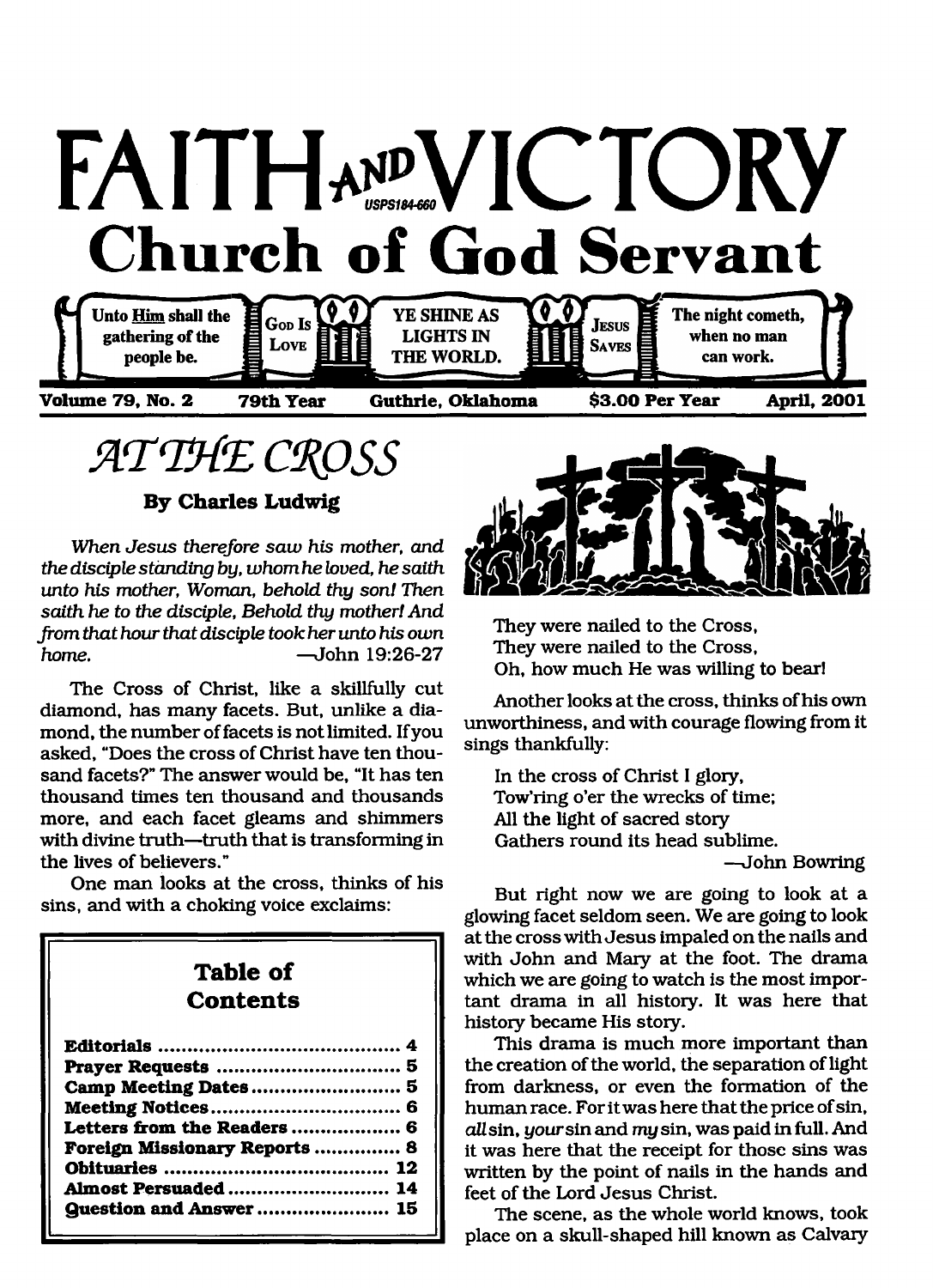

**ATTHE CROSS** 

**By Charles Ludwig**

*When Jesus therefore saw his mother, and the disciple standing by, whom he loved, he saith unto his mother, Woman, behold thy son! Then saith he to the disciple, Behold thy mother! And from that hour that disciple took her unto his own home.* — John 19:26-27

The Cross of Christ, like a skillfully cut diamond, has *many* facets. But, unlike a diamond, the number of facets is not limited. If you asked, "Does the cross of Christ have ten thousand facets?" The answer would be, "It has ten thousand times ten thousand and thousands more, and each facet gleams and shimmers with divine truth—truth that is transforming in the lives of believers."

One man looks at the cross, thinks of his sins, and with a choking voice exclaims:

# **Table of Contents**

| Letters from the Readers  6   |  |
|-------------------------------|--|
| Foreign Missionary Reports  8 |  |
|                               |  |
| Almost Persuaded  14          |  |
|                               |  |
|                               |  |



They were nailed to the Cross, They were nailed to the Cross, Oh, how much He was willing to bear!

Another looks at the cross, thinks of his own unworthiness, and with courage flowing from it sings thankfully:

In the cross of Christ I glory, Tow'ring o'er the wrecks of time; All the light of sacred story Gathers round its head sublime.

—John Bowring

But right now we are going to look at a glowing facet seldom seen. We are going to look at the cross with Jesus impaled on the nails and with John and Mary at the foot. The drama which we are going to watch is the most important drama in all history. It was here that history became His story.

This drama is much more important than the creation of the world, the separation of light from darkness, or even the formation of the human race. For it was here that the price of sin, *all* sin, *your* sin and *my* sin, was paid in full. And it was here that the receipt for those sins was written by the point of nails in the hands and feet of the Lord Jesus Christ.

The scene, as the whole world knows, took place on a skull-shaped hill known as Calvary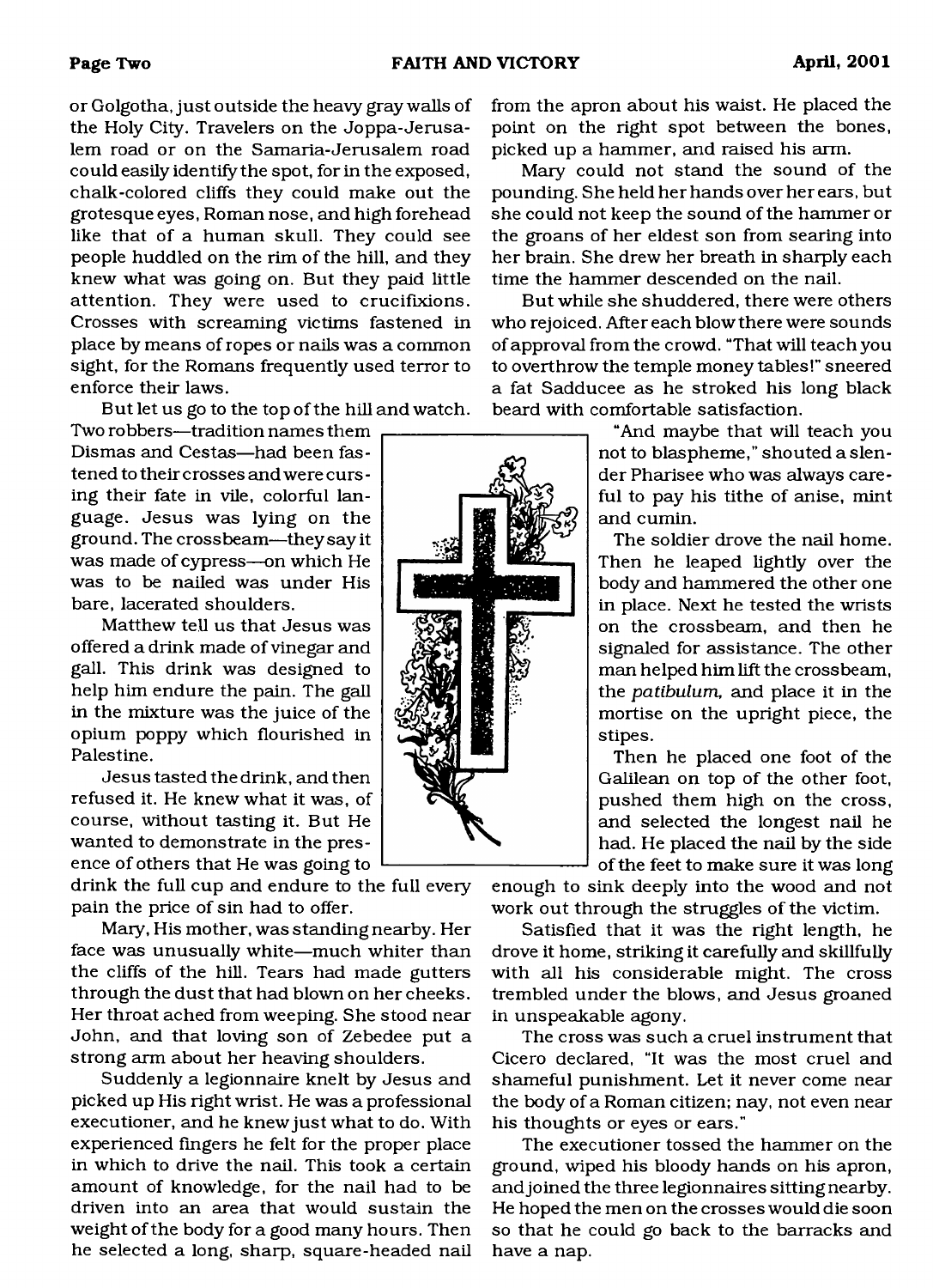or Golgotha, just outside the heavy gray walls of the Holy City. Travelers on the Joppa-Jerusalem road or on the Samaria-Jerusalem road could easily identity the spot, for in the exposed, chalk-colored cliffs they could make out the grotesque eyes, Roman nose, and high forehead like that of a human skull. They could see people huddled on the rim of the hill, and they knew what was going on. But they paid little attention. They were used to crucifixions. Crosses with screaming victims fastened in place by means of ropes or nails was a common sight, for the Romans frequently used terror to enforce their laws.

But let us go to the top of the hill and watch.

Two robbers—tradition names them Dismas and Cestas—had been fastened to their crosses and were curs ing their fate in vile, colorful language. Jesus was lying on the ground. The crossbeam—they say it was made of cypress—on which He was to be nailed was under His bare, lacerated shoulders.

Matthew tell us that Jesus was offered a drink made of vinegar and gall. This drink was designed to help him endure the pain. The gall in the mixture was the juice of the opium poppy which flourished in Palestine.

Jesus tasted the drink, and then refused it. He knew what it was, of course, without tasting it. But He wanted to demonstrate in the presence of others that He was going to

drink the full cup and endure to the full every pain the price of sin had to offer.

Mary, His mother, was standing nearby. Her face was unusually white—much whiter than the cliffs of the hill. Tears had made gutters through the dust that had blown on her cheeks. Her throat ached from weeping. She stood near John, and that loving son of Zebedee put a strong arm about her heaving shoulders.

Suddenly a legionnaire knelt by Jesus and picked up His right wrist. He was a professional executioner, and he knew just what to do. With experienced fingers he felt for the proper place in which to drive the nail. This took a certain amount of knowledge, for the nail had to be driven into an area that would sustain the weight of the body for a good many hours. Then he selected a long, sharp, square-headed nail

from the apron about his waist. He placed the point on the right spot between the bones, picked up a hammer, and raised his arm.

Mary could not stand the sound of the pounding. She held her hands over her ears, but she could not keep the sound of the hammer or the groans of her eldest son from searing into her brain. She drew her breath in sharply each time the hammer descended on the nail.

But while she shuddered, there were others who rejoiced. After each blow there were sounds of approval from the crowd. "That will teach you to overthrow the temple money tables!" sneered a fat Sadducee as he stroked his long black beard with comfortable satisfaction.

> "And maybe that will teach you not to blaspheme," shouted a slender Pharisee who was always careful to pay his tithe of anise, mint and cumin.

> The soldier drove the nail home. Then he leaped lightly over the body and hammered the other one in place. Next he tested the wrists on the crossbeam, and then he signaled for assistance. The other man helped him lift the crossbeam, the *patibulum,* and place it in the mortise on the upright piece, the stipes.

> Then he placed one foot of the Galilean on top of the other foot, pushed them high on the cross, and selected the longest nail he had. He placed the nail by the side of the feet to make sure it was long

enough to sink deeply into the wood and not work out through the struggles of the victim.

Satisfied that it was the right length, he drove it home, striking it carefully and skillfully with all his considerable might. The cross trembled under the blows, and Jesus groaned in unspeakable agony.

The cross was such a cruel instrument that Cicero declared, "It was the most cruel and shameful punishment. Let it never come near the body of a Roman citizen; nay, not even near his thoughts or eyes or ears."

The executioner tossed the hammer on the ground, wiped his bloody hands on his apron, and joined the three legionnaires sitting nearby. He hoped the men on the crosses would die soon so that he could go back to the barracks and have a nap.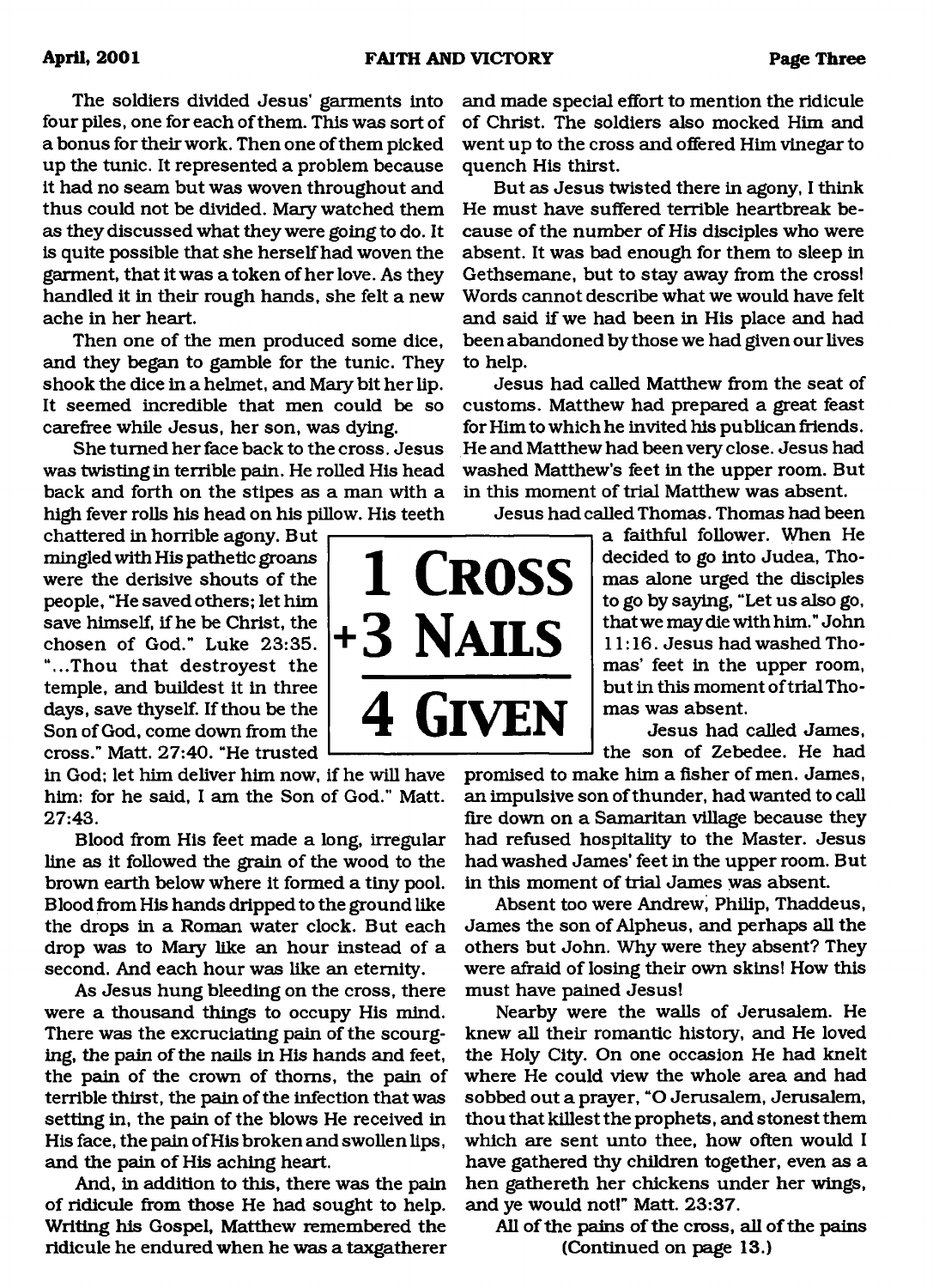The soldiers divided Jesus' garments into four piles, one for each of them. This was sort of a bonus for their work. Then one of them picked up the tunic. It represented a problem because it had no seam but was woven throughout and thus could not be divided. Mary watched them as they discussed what they were going to do. It is quite possible that she herself had woven the garment, that it was a token of her love. As they handled it in their rough hands, she felt a new ache in her heart.

Then one of the men produced some dice, and they began to gamble for the tunic. They shook the dice in a helmet, and Mary bit her lip. It seemed incredible that men could be so carefree while Jesus, her son, was dying.

She turned her face back to the cross. Jesus was twisting in terrible pain. He rolled His head back and forth on the stipes as a man with a high fever rolls his head on his pillow. His teeth

chattered in horrible agony. But mingled with His pathetic groans were the derisive shouts of the people, "He saved others; let him save himself, if he be Christ, the chosen of God." Luke 23:35. "...Thou that destroyest the temple, and buildest it in three days, save thyself. If thou be the Son of God, come down from the cross." Matt. 27:40. "He trusted

in God; let him deliver him now, if he will have him: for he said, I am the Son of God." Matt. 27:43.

Blood from His feet made a long, irregular line as it followed the grain of the wood to the brown earth below where it formed a tiny pool. Blood from His hands dripped to the ground like the drops in a Roman water clock. But each drop was to Mary like an hour instead of a second. And each hour was like an eternity.

As Jesus hung bleeding on the cross, there were a thousand things to occupy His mind. There was the excruciating pain of the scourging, the pain of the nails in His hands and feet, the pain of the crown of thorns, the pain of terrible thirst, the pain of the infection that was setting in, the pain of the blows He received in His face, the pain of His broken and swollen lips, and the pain of His aching heart.

And, in addition to this, there was the pain of ridicule from those He had sought to help. Writing his Gospel, Matthew remembered the ridicule he endured when he was a taxgatherer and made special effort to mention the ridicule of Christ. The soldiers also mocked Him and went up to the cross and offered Him vinegar to quench His thirst.

But as Jesus twisted there in agony, I think He must have suffered terrible heartbreak because of the number of His disciples who were absent. It was bad enough for them to sleep in Gethsemane, but to stay away from the cross! Words cannot describe what we would have felt and said if we had been in His place and had been abandoned by those we had given our lives to help.

Jesus had called Matthew from the seat of customs. Matthew had prepared a great feast for Him to which he invited his publican friends. He and Matthew had been very close. Jesus had washed Matthew's feet in the upper room. But in this moment of trial Matthew was absent.

Jesus had called Thomas. Thomas had been

a faithful follower. When He decided to go into Judea, Thomas alone urged the disciples to go by saying, "Let us also go, that we may die with him. " John 11:16. Jesus had washed Thomas' feet in the upper room, but in this moment of trial Thomas was absent.

Jesus had called James, the son of Zebedee. He had

promised to make him a fisher of men. James, an impulsive son of thunder, had wanted to call fire down on a Samaritan village because they had refused hospitality to the Master. Jesus had washed James' feet in the upper room. But in this moment of trial James was absent.

Absent too were Andrew, Philip, Thaddeus, James the son of Alpheus, and perhaps all the others but John. Why were they absent? They were afraid of losing their own skins! How this must have pained Jesus!

Nearby were the walls of Jerusalem. He knew all their romantic history, and He loved the Holy City. On one occasion He had knelt where He could view the whole area and had sobbed out a prayer, "O Jerusalem, Jerusalem, thou that killest the prophets, and stonest them which are sent unto thee, how often would I have gathered thy children together, even as a hen gathereth her chickens under her wings, and ye would not!" Matt. 23:37.

All of the pains of the cross, all of the pains (Continued on page 13.)

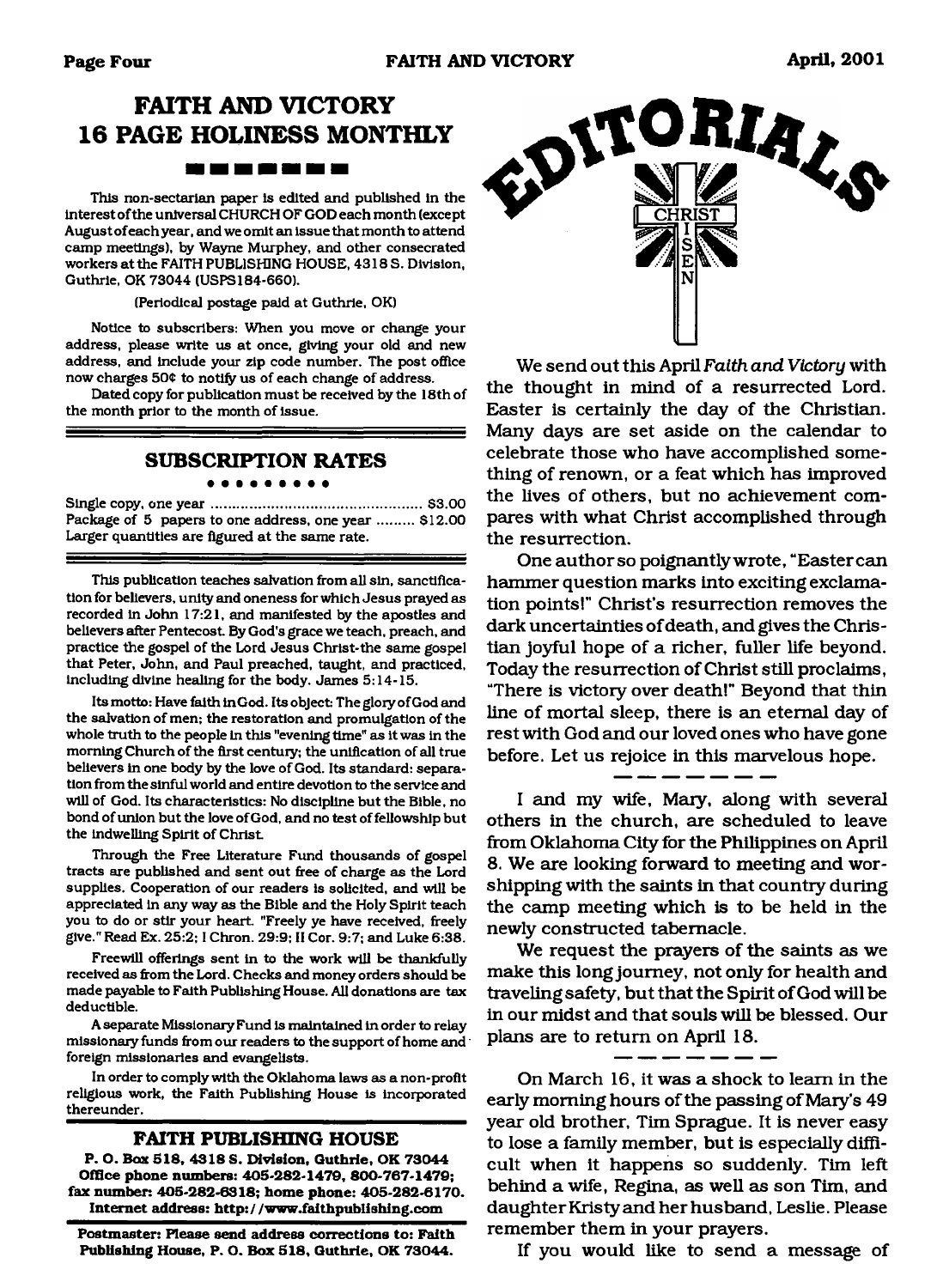# **FAITH AND VICTORY 16 PAGE HOLINESS MONTHLY**

<u> 1981 - 1981 - 1982 - 1982 - 1982 - 1982 - 1982 - 1982 - 1982 - 1982 - 1982 - 1982 - 1982 - 1982 - 1982 - 198</u>

This non-sectarian paper is edited and published in the interest of the universal CHURCH OF GOD each month (except August of each year, and we omit an issue that month to attend camp meetings), by Wayne Murphey, and other consecrated workers at the FAITH PUBLISHING HOUSE, 4318 S. Division, Guthrie, OK 73044 (USPS184-660).

(Periodical postage paid at Guthrie, OK)

Notice to subscribers: When you move or change your address, please write us at once, giving your old and new address, and include your zip code number. The post office now charges 504 to notify us of each change of address.

Dated copy for publication must be received by the 18th of the month prior to the month of issue.

# **SUBSCRIPTION RATES**

. . . . . . . . .

Single copy, one y e a r .................................................... \$3.00 Package of 5 papers to one address, one year ......... \$12.00 Larger quantities are figured at the same rate.

This publication teaches salvation from all sin, sanctification for believers, unity and oneness for which Jesus prayed as recorded in John 17:21, and manifested by the apostles and believers after Pentecost. By God's grace we teach, preach, and practice the gospel of the Lord Jesus Christ-the same gospel that Peter, John, and Paul preached, taught, and practiced, Including divine healing for the body. James 5:14-15.

Its motto: Have faith in God. Its object: The glory of God and the salvation of men; the restoration and promulgation of the whole truth to the people in this "evening time" as it was in the morning Church of the first century; the unification of all true believers in one body by the love of God. Its standard: separation from the sinful world and entire devotion to the service and will of God. Its characteristics: No discipline but the Bible, no bond of union but the love of God, and no test of fellowship but the indwelling Spirit of Christ

Through the Free Literature Fund thousands of gospel tracts are published and sent out free of charge as the Lord supplies. Cooperation of our readers is solicited, and will be appreciated in any way as the Bible and the Holy Spirit teach you to do or stir your heart "Freely ye have received, freely give." Read Ex. 25:2; I Chron. 29:9; II Cor. 9:7; and Luke 6:38.

Freewill offerings sent in to the work will be thankfully received as from the Lord. Checks and money orders should be made payable to Faith Publishing House. All donations are tax deductible.

A separate Missionary Fund is maintained in order to relay missionary funds from our readers to the support of home and' foreign missionaries and evangelists.

In order to comply with the Oklahoma laws as a non-profit religious work, the Faith Publishing House is incorporated thereunder.

#### **FAITH PUBLISHING HOUSE**

**P. O. Box 818, 4318 S. Division, Guthrie, OK 73044 Office phone numbers: 405-282-1479, 800-767-1479; fax number: 405-282-6318; home phone: 405-282-6170. Internet address: <http://www.faithpublishing.com>**

**Postmaster: Please send address corrections to: Faith Publishing House, P. O. Box 518, Guthrie, OK 73044.**



We send out this April *Faith and Victory* with the thought in mind of a resurrected Lord. Easter is certainly the day of the Christian. Many days are set aside on the calendar to celebrate those who have accomplished something of renown, or a feat which has improved the lives of others, but no achievement compares with what Christ accomplished through the resurrection.

One author so poignantly wrote, "Eastercan hammer question marks into exciting exclamation points!" Christ's resurrection removes the dark uncertainties of death, and gives the Christian joyful hope of a richer, fuller life beyond. Today the resurrection of Christ still proclaims, "There is victory over death!" Beyond that thin line of mortal sleep, there is an eternal day of rest with God and our loved ones who have gone before. Let us rejoice in this marvelous hope.

I and my wife, Mary, along with several others in the church, are scheduled to leave from Oklahoma City for the Philippines on April 8. We are looking forward to meeting and worshipping with the saints in that country during the camp meeting which is to be held in the newly constructed tabernacle.

We request the prayers of the saints as we make this long journey, not only for health and traveling safety, but that the Spirit of God will be in our midst and that souls will be blessed. Our plans are to return on April 18.

On March 16, it was a shock to leam in the early morning hours of the passing of Mary's 49 year old brother, Tim Sprague. It is never easy to lose a family member, but is especially difficult when it happens so suddenly. Tim left behind a wife, Regina, as well as son Tim, and daughter Kristy and her husband, Leslie. Please remember them in your prayers.

If you would like to send a message of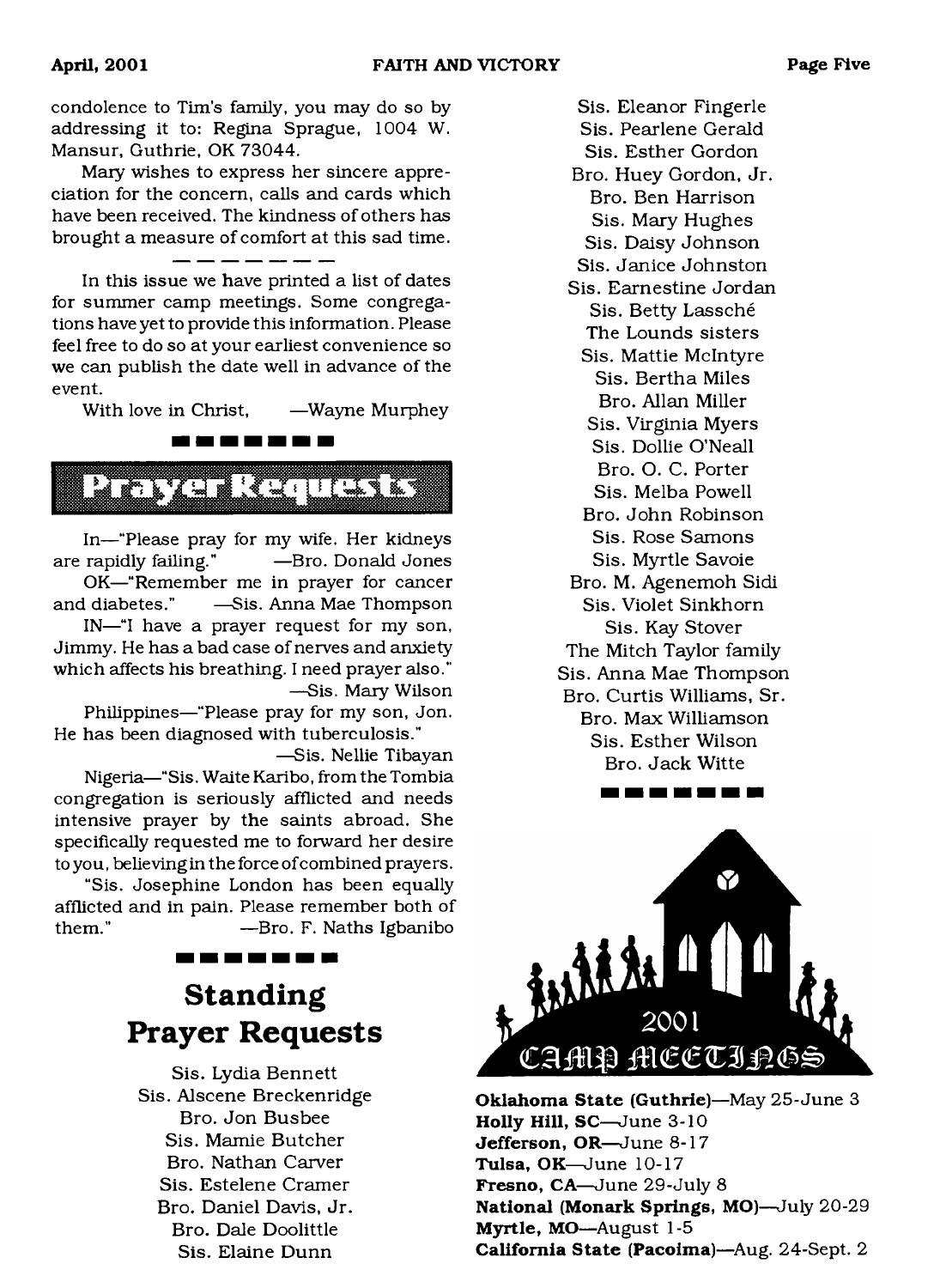condolence to Tim's family, you may do so by addressing it to: Regina Sprague, 1004 W. Mansur, Guthrie, OK 73044.

Mary wishes to express her sincere appreciation for the concern, calls and cards which have been received. The kindness of others has brought a measure of comfort at this sad time.

In this issue we have printed a list of dates for summer camp meetings. Some congregations have yet to provide this information. Please feel free to do so at your earliest convenience so we can publish the date well in advance of the event.

With love in Christ, —Wayne Murphey

<span id="page-4-0"></span>

In—"Please pray for my wife. Her kidneys are rapidly failing." —Bro. Donald Jones OK—"Remember me in prayer for cancer

and diabetes." —Sis. Anna Mae Thompson IN—"I have a prayer request for my son, Jimmy. He has a bad case of nerves and anxiety

which affects his breathing. I need prayer also." —Sis. Mary Wilson

Philippines—"Please pray for my son, Jon. He has been diagnosed with tuberculosis."

—Sis. Nellie Tibayan Nigeria—"Sis. Waite Karibo, from the Tombia congregation is seriously afflicted and needs intensive prayer by the saints abroad. She specifically requested me to forward her desire to you, believing in the force of combined prayers.

"Sis. Josephine London has been equally afflicted and in pain. Please remember both of them." —Bro. F. Naths Igbanibo

#### -------

# **Standing Prayer Requests**

Sis. Lydia Bennett Sis. Alscene Breckenridge Bro. Jon Busbee Sis. Mamie Butcher Bro. Nathan Carver Sis. Estelene Cramer Bro. Daniel Davis, Jr. Bro. Dale Doolittle Sis. Elaine Dunn

Sis. Eleanor Fingerle Sis. Pearlene Gerald Sis. Esther Gordon Bro. Huey Gordon, Jr. Bro. Ben Harrison Sis. Mary Hughes Sis. Daisy Johnson Sis. Janice Johnston Sis. Earnestine Jordan Sis. Betty Lassche The Lounds sisters Sis. Mattie McIntyre Sis. Bertha Miles Bro. Allan Miller Sis. Virginia Myers Sis. Dollie O'Neall Bro. O. C. Porter Sis. Melba Powell Bro. John Robinson Sis. Rose Samons Sis. Myrtle Savoie Bro. M. Agenemoh Sidi Sis. Violet Sinkhorn Sis. Kay Stover The Mitch Taylor family Sis. Anna Mae Thompson Bro. Curtis Williams, Sr. Bro. Max Williamson Sis. Esther Wilson Bro. Jack Witte



---------

**Oklahoma State (Guthrie)**—May 25-June 3 **Holly Hill, SC**—June 3-10 **Jefferson, OR**—June 8-17 **Tulsa, OK**—June 10-17 **Fresno, CA**—June 29-July 8 **National (Monark Springs, MO)**—July 20-29 **Myrtle, MO**—August 1-5 **California State (Pacoima)**—Aug. 24-Sept. 2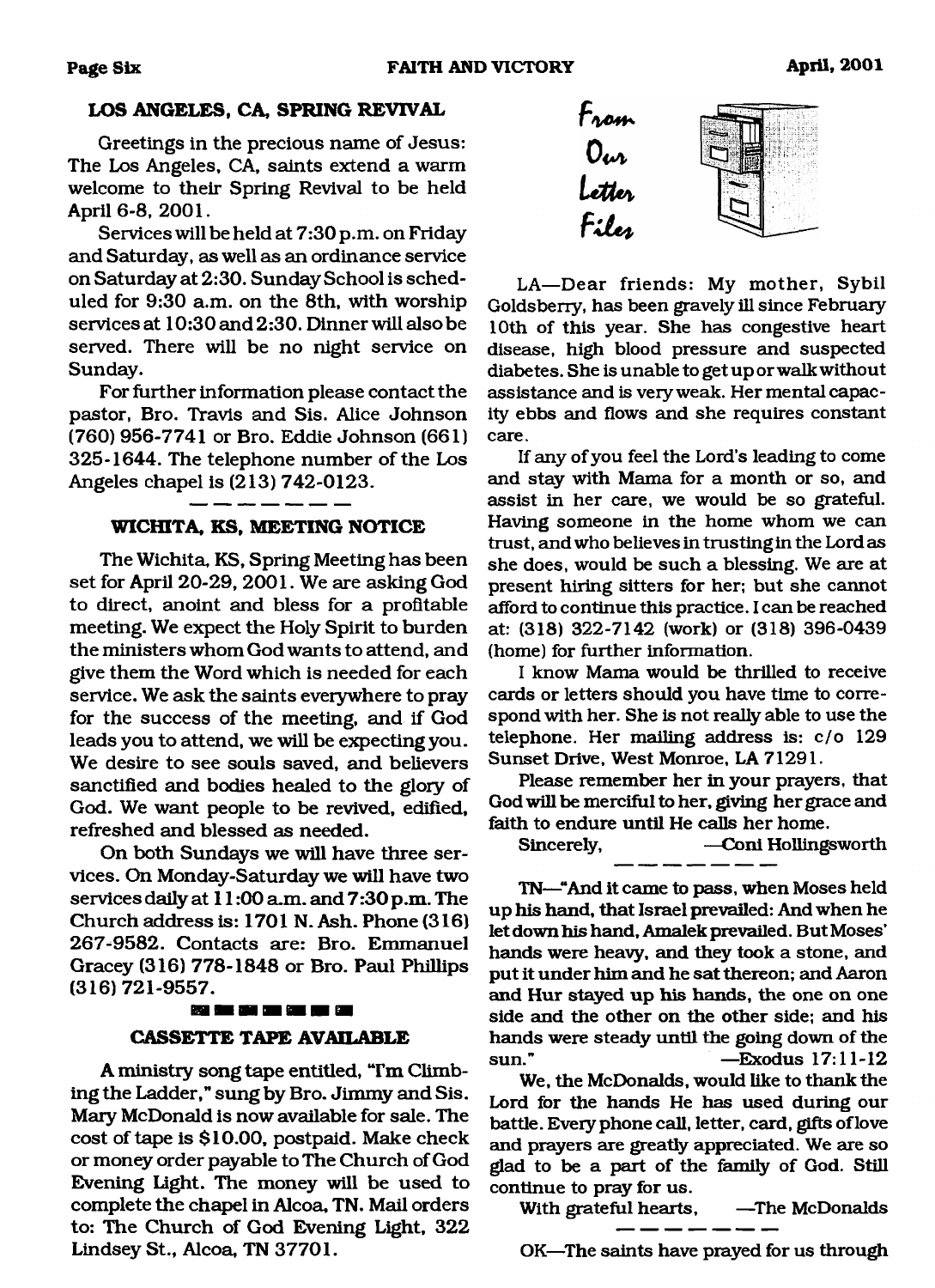## **LOS ANGELES, CA, SPRING REVIVAL**

Greetings in the precious name of Jesus: The Los Angeles, CA, saints extend a warm welcome to their Spring Revival to be held April 6-8, 2001.

Services will be held at 7:30 p.m. on Friday and Saturday, as well as an ordinance service on Saturday at 2:30. Sunday School is scheduled for 9:30 a.m. on the 8th, with worship services at 10:30 and 2:30. Dinner will also be served. There will be no night service on Sunday.

For further information please contact the pastor, Bro. Travis and Sis. Alice Johnson (760) 956-7741 or Bro. Eddie Johnson (661) 325-1644. The telephone number of the Los Angeles chapel is (213) 742-0123.

#### **W ICHITA, KS, MEETING NOTICE**

The Wichita, KS, Spring Meeting has been set for April 20-29, 2001. We are asking God to direct, anoint and bless for a profitable meeting. We expect the Holy Spirit to burden the ministers whom God wants to attend, and give them the Word which is needed for each service. We ask the saints everywhere to pray for the success of the meeting, and if God leads you to attend, we will be expecting you. We desire to see souls saved, and believers sanctified and bodies healed to the glory of God. We want people to be revived, edified, refreshed and blessed as needed.

On both Sundays we will have three services. On Monday-Saturday we will have two services daily at 11:00 a.m. and 7:30 p.m. The Church address is: 1701 N. Ash. Phone (316) 267-9582. Contacts are: Bro. Emmanuel Gracey (316) 778-1848 or Bro. Paul Phillips (316) 721-9557.

#### 89 SE 20 DE 92 JE 92

## **CASSETTE TAPE AVAILABLE**

A ministry song tape entitled, "I'm Climbing the Ladder," sung by Bro. Jimmy and Sis. Mary McDonald is now available for sale. The cost of tape is \$10.00, postpaid. Make check or money order payable to The Church of God Evening Light. The money will be used to complete the chapel in Alcoa, TN. Mail orders to: The Church of God Evening Light, 322 Lindsey St., Alcoa, TN 37701.



LA— Dear friends: My mother, Sybil Goldsberry, has been gravely ill since February 10th of this year. She has congestive heart disease, high blood pressure and suspected diabetes. She is unable to get up or walk without assistance and is very weak. Her mental capacity ebbs and flows and she requires constant care.

If any of you feel the Lord's leading to come and stay with Mama for a month or so, and assist in her care, we would be so grateful. Having someone in the home whom we can trust, and who believes in trusting in the Lord as she does, would be such a blessing. We are at present hiring sitters for her; but she cannot afford to continue this practice. I can be reached at: (318) 322-7142 (work) or (318) 396-0439 (home) for further information.

I know Mama would be thrilled to receive cards or letters should you have time to correspond with her. She is not really able to use the telephone. Her mailing address is: c/o 129 Sunset Drive, West Monroe, LA 71291.

Please remember her in your prayers, that God will be merciful to her, giving her grace and faith to endure until He calls her home.

Sincerely, — Coni Hollingsworth

TN—"And it came to pass, when Moses held up his hand, that Israel prevailed: And when he let down his hand, Amalek prevailed. But Moses' hands were heavy, and they took a stone, and put it under him and he sat thereon; and Aaron and Hur stayed up his hands, the one on one side and the other on the other side; and his hands were steady until the going down of the sun." —Exodus 17:11-12

We, the McDonalds, would like to thank the Lord for the hands He has used during our battle. Every phone call, letter, card, gifts of love and prayers are greatly appreciated. We are so glad to be a part of the family of God. Still continue to pray for us.

With grateful hearts, —The McDonalds

OK—The saints have prayed for us through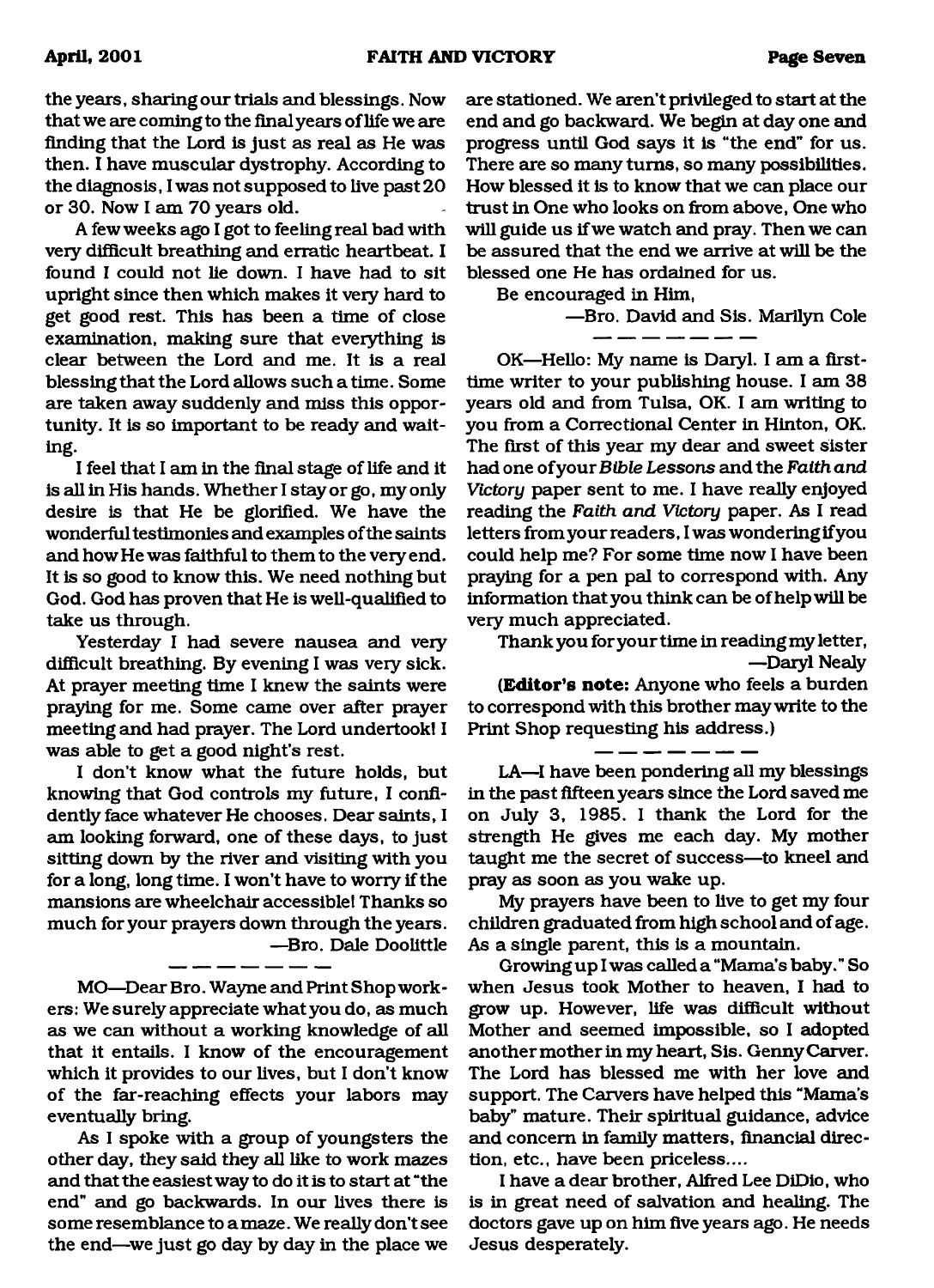the years, sharing our trials and blessings. Now that we are coming to the final years oflife we are finding that the Lord is just as real as He was then. I have muscular dystrophy. According to the diagnosis, I was not supposed to live past 20 or 30. Now I am 70 years old.

A few weeks ago I got to feeling real bad with very difficult breathing and erratic heartbeat. I found I could not lie down. I have had to sit upright since then which makes it very hard to get good rest. This has been a time of close examination, making sure that everything is clear between the Lord and me. It is a real blessing that the Lord allows such a time. Some are taken away suddenly and miss this opportunity. It is so important to be ready and waiting.

I feel that I am in the final stage of life and it is all in His hands. Whether I stay or go, my only desire is that He be glorified. We have the wonderful testimonies and examples of the saints and how He was faithful to them to the very end. It is so good to know this. We need nothing but God. God has proven that He is well-qualified to take us through.

Yesterday I had severe nausea and very difficult breathing. By evening I was very sick. At prayer meeting time I knew the saints were praying for me. Some came over after prayer meeting and had prayer. The Lord undertook! I was able to get a good night's rest.

I don't know what the future holds, but knowing that God controls my future, I confidently face whatever He chooses. Dear saints, I am looking forward, one of these days, to just sitting down by the river and visiting with you for a long, long time. I won't have to worry if the mansions are wheelchair accessible! Thanks so much for your prayers down through the years. —Bro. Dale Doolittle

MO—Dear Bro. Wayne and Print Shop workers: We surely appreciate what you do, as much as we can without a working knowledge of all that it entails. I know of the encouragement which it provides to our lives, but I don't know of the far-reaching effects your labors may eventually bring.

As I spoke with a group of youngsters the other day, they said they all like to work mazes and that the easiest way to do it is to start at "the end" and go backwards. In our lives there is some resemblance to a maze. We really don't see the end—we just go day by day in the place we

are stationed. We aren't privileged to start at the end and go backward. We begin at day one and progress until God says it is "the end" for us. There are so many turns, so many possibilities. How blessed it is to know that we can place our trust in One who looks on from above, One who will guide us if we watch and pray. Then we can be assured that the end we arrive at will be the blessed one He has ordained for us.

Be encouraged in Him,

—Bro. David and Sis. Marilyn Cole

OK—Hello: My name is Daryl. I am a firsttime writer to your publishing house. I am 38 years old and from Tulsa, OK. I am writing to you from a Correctional Center in Hinton, OK. The first of this year my dear and sweet sister had one of your *Bible Lessons* and the *Faith and Victory* paper sent to me. I have really enjoyed reading the *Faith and Victory* paper. As I read letters from your readers, I was wondering if you could help me? For some time now I have been praying for a pen pal to correspond with. Any information that you think can be of help will be very much appreciated.

Thank you for your time in reading my letter, —Daryl Nealy

**(Editor's note:** Anyone who feels a burden to correspond with this brother may write to the Print Shop requesting his address.)

LA—I have been pondering all my blessings in the past fifteen years since the Lord saved me on July 3, 1985. I thank the Lord for the strength He gives me each day. My mother taught me the secret of success—to kneel and pray as soon as you wake up.

My prayers have been to live to get my four children graduated from high school and of age. As a single parent, this is a mountain.

Growing up I was called a "Mama's baby." So when Jesus took Mother to heaven, I had to grow up. However, life was difficult without Mother and seemed impossible, so I adopted another mother in my heart, Sis. Genny Carver. The Lord has blessed me with her love and support. The Carvers have helped this "Mama's baby" mature. Their spiritual guidance, advice and concern in family matters, financial direction, etc., have been priceless....

I have a dear brother, Alfred Lee DiDio, who is in great need of salvation and healing. The doctors gave up on him five years ago. He needs Jesus desperately.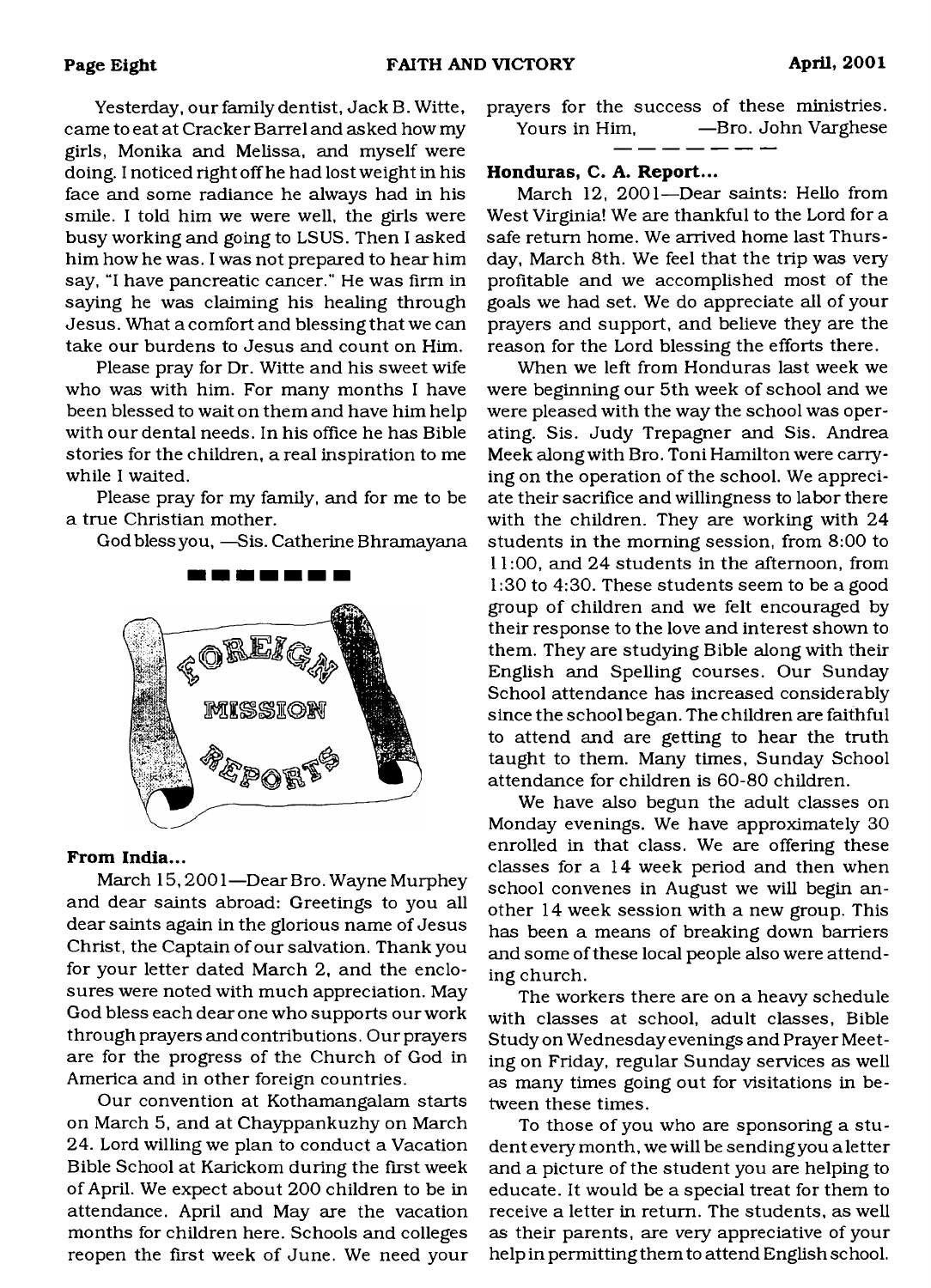Yesterday, our family dentist, Jack B. Witte, came to eat at Cracker Barrel and asked how my girls, Monika and Melissa, and myself were doing. I noticed right off he had lost weight in his face and some radiance he always had in his smile. I told him we were well, the girls were busy working and going to LSUS. Then I asked him how he was. I was not prepared to hear him say, "I have pancreatic cancer." He was firm in saying he was claiming his healing through Jesus. What a comfort and blessing that we can take our burdens to Jesus and count on Him.

Please pray for Dr. Witte and his sweet wife who was with him. For many months I have been blessed to wait on them and have him help with our dental needs. In his office he has Bible stories for the children, a real inspiration to me while I waited.

Please pray for my family, and for me to be a true Christian mother.

God bless you, —Sis. Catherine Bhramayana



#### **From India...**

March 15,2001—Dear Bro. Wayne Murphey and dear saints abroad: Greetings to you all dear saints again in the glorious name of Jesus Christ, the Captain of our salvation. Thank you for your letter dated March 2, and the enclosures were noted with much appreciation. May God bless each dear one who supports our work through prayers and contributions. Our prayers are for the progress of the Church of God in America and in other foreign countries.

Our convention at Kothamangalam starts on March 5, and at Chayppankuzhy on March 24. Lord willing we plan to conduct a Vacation Bible School at Karickom during the first week of April. We expect about 200 children to be in attendance. April and May are the vacation months for children here. Schools and colleges reopen the first week of June. We need your prayers for the success of these ministries. Yours in Him, —Bro. John Varghese

**Honduras, C. A. Report...**

March 12, 2001—Dear saints: Hello from West Virginia! We are thankful to the Lord for a safe return home. We arrived home last Thursday, March 8th. We feel that the trip was very profitable and we accomplished most of the goals we had set. We do appreciate all of your prayers and support, and believe they are the reason for the Lord blessing the efforts there.

When we left from Honduras last week we were beginning our 5th week of school and we were pleased with the way the school was operating. Sis. Judy Trepagner and Sis. Andrea Meek along with Bro. Toni Hamilton were carrying on the operation of the school. We appreciate their sacrifice and willingness to labor there with the children. They are working with 24 students in the morning session, from 8:00 to 11:00, and 24 students in the afternoon, from 1:30 to 4:30. These students seem to be a good group of children and we felt encouraged by their response to the love and interest shown to them. They are studying Bible along with their English and Spelling courses. Our Sunday School attendance has increased considerably since the school began. The children are faithful to attend and are getting to hear the truth taught to them. Many times, Sunday School attendance for children is 60-80 children.

We have also begun the adult classes on Monday evenings. We have approximately 30 enrolled in that class. We are offering these classes for a 14 week period and then when school convenes in August we will begin another 14 week session with a new group. This has been a means of breaking down barriers and some of these local people also were attending church.

The workers there are on a heavy schedule with classes at school, adult classes, Bible Study on Wednesday evenings and Prayer Meeting on Friday, regular Sunday services as well as many times going out for visitations in between these times.

To those of you who are sponsoring a student every month, we will be sending you a letter and a picture of the student you are helping to educate. It would be a special treat for them to receive a letter in return. The students, as well as their parents, are very appreciative of your help in permitting them to attend English school.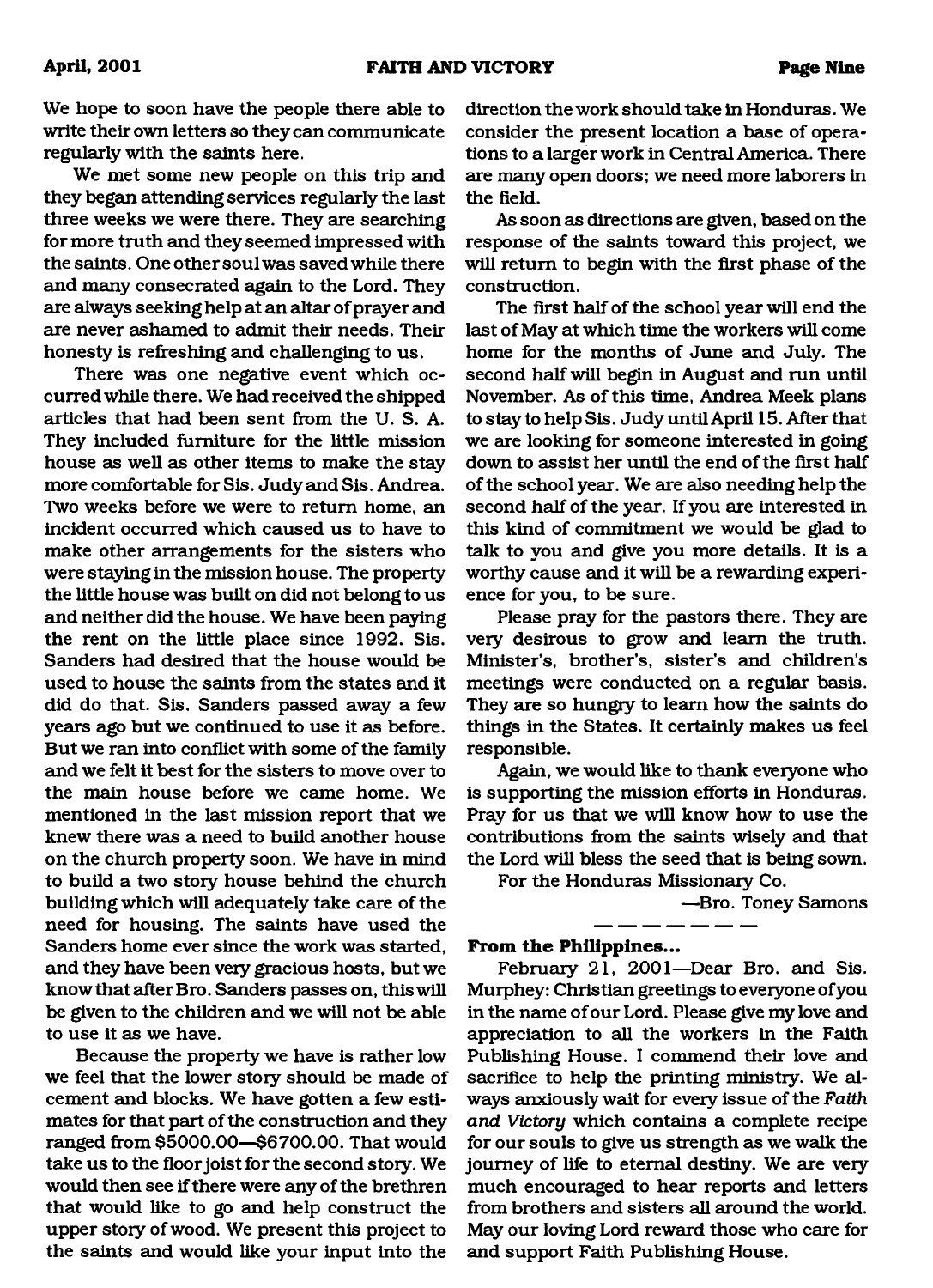We hope to soon have the people there able to write their own letters so they can communicate regularly with the saints here.

We met some new people on this trip and they began attending services regularly the last three weeks we were there. They are searching for more truth and they seemed impressed with the saints. One other soul was saved while there and many consecrated again to the Lord. They are always seeking help at an altar of prayer and are never ashamed to admit their needs. Their honesty is refreshing and challenging to us.

There was one negative event which occurred while there. We had received the shipped articles that had been sent from the U. S. A. They included furniture for the little mission house as well as other items to make the stay more comfortable for Sis. Judy and Sis. Andrea. Two weeks before we were to return home, an incident occurred which caused us to have to make other arrangements for the sisters who were staying in the mission house. The property the little house was built on did not belong to us and neither did the house. We have been paying the rent on the little place since 1992. Sis. Sanders had desired that the house would be used to house the saints from the states and it did do that. Sis. Sanders passed away a few years ago but we continued to use it as before. But we ran into conflict with some of the family and we felt it best for the sisters to move over to the main house before we came home. We mentioned in the last mission report that we knew there was a need to build another house on the church property soon. We have in mind to build a two story house behind the church building which will adequately take care of the need for housing. The saints have used the Sanders home ever since the work was started, and they have been very gracious hosts, but we know that after Bro. Sanders passes on, this will be given to the children and we will not be able to use it as we have.

Because the property we have is rather low we feel that the lower story should be made of cement and blocks. We have gotten a few estimates for that part of the construction and they ranged from \$5000.00—\$6700.00. That would take us to the floor joist for the second story. We would then see if there were any of the brethren that would like to go and help construct the upper story of wood. We present this project to the saints and would like your input into the

direction the work should take in Honduras. We consider the present location a base of operations to a larger work in Central America. There are many open doors; we need more laborers in the field.

As soon as directions are given, based on the response of the saints toward this project, we will return to begin with the first phase of the construction.

The first half of the school year will end the last of May at which time the workers will come home for the months of June and July. The second half will begin in August and run until November. As of this time, Andrea Meek plans to stay to helpSis. Judy until April 15. After that we are looking for someone interested in going down to assist her until the end of the first half of the school year. We are also needing help the second half of the year. If you are interested in this kind of commitment we would be glad to talk to you and give you more details. It is a worthy cause and it will be a rewarding experience for you, to be sure.

Please pray for the pastors there. They are very desirous to grow and learn the truth. Minister's, brother's, sister's and children's meetings were conducted on a regular basis. They are so hungry to learn how the saints do things in the States. It certainly makes us feel responsible.

Again, we would like to thank everyone who is supporting the mission efforts in Honduras. Pray for us that we will know how to use the contributions from the saints wisely and that the Lord will bless the seed that is being sown.

For the Honduras Missionary Co.

—Bro. Toney Samons

#### **From the Philippines...**

February 21, 2001—Dear Bro. and Sis. Murphey: Christian greetings to everyone of you in the name of our Lord. Please give my love and appreciation to all the workers in the Faith Publishing House. I commend their love and sacrifice to help the printing ministry. We always anxiously wait for every issue of the *Faith and Victory* which contains a complete recipe for our souls to give us strength as we walk the journey of life to eternal destiny. We are very much encouraged to hear reports and letters from brothers and sisters all around the world. May our loving Lord reward those who care for and support Faith Publishing House.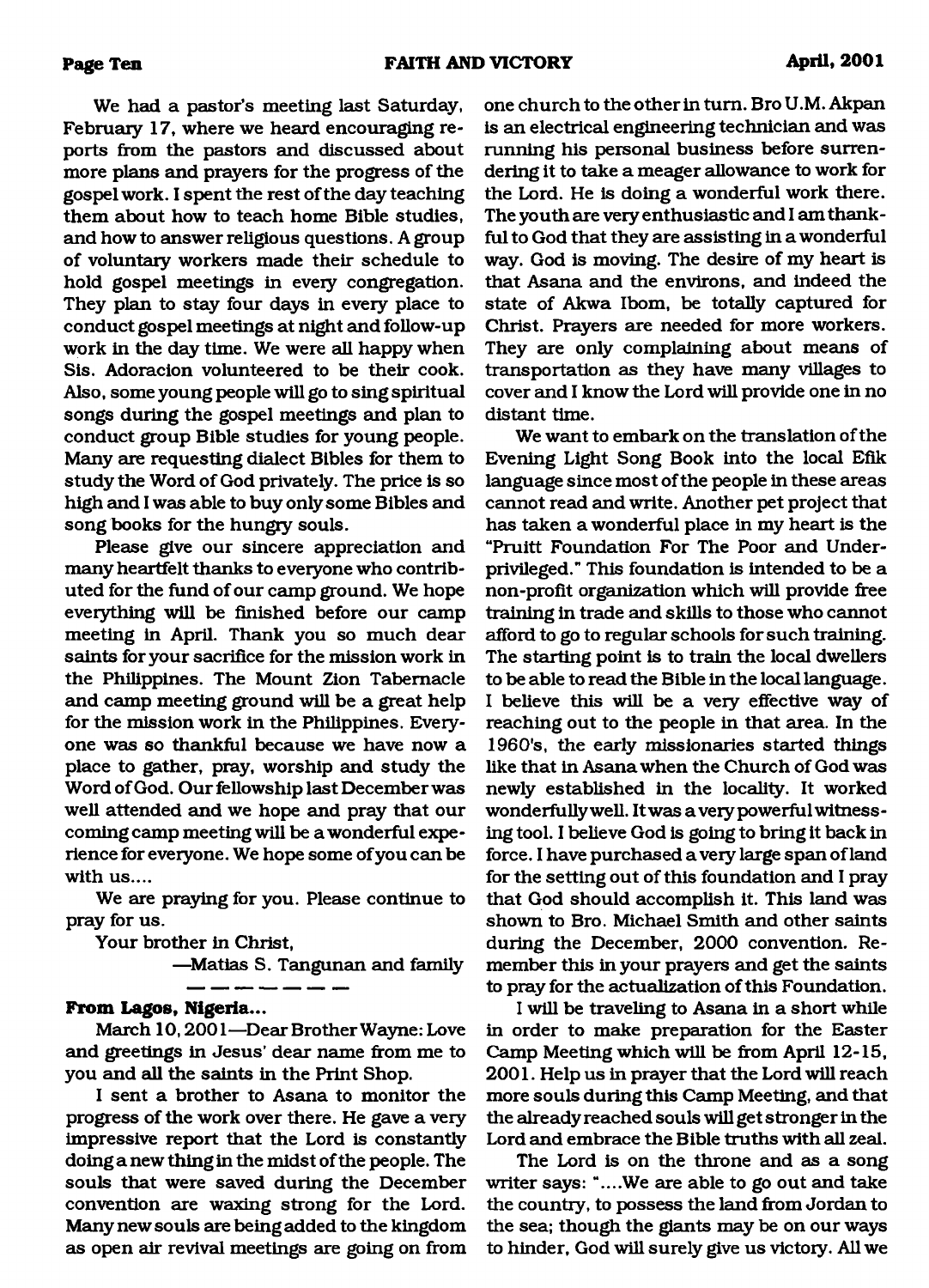We had a pastor's meeting last Saturday, February 17, where we heard encouraging reports from the pastors and discussed about more plans and prayers for the progress of the gospel work. I spent the rest of the day teaching them about how to teach home Bible studies, and how to answer religious questions. A group of voluntary workers made their schedule to hold gospel meetings in every congregation. They plan to stay four days in every place to conduct gospel meetings at night and follow-up work in the day time. We were all happy when Sis. Adoracion volunteered to be their cook. Also, some young people will go to sing spiritual songs during the gospel meetings and plan to conduct group Bible studies for young people. Many are requesting dialect Bibles for them to study the Word of God privately. The price is so high and I was able to buy only some Bibles and song books for the hungry souls.

Please give our sincere appreciation and many heartfelt thanks to everyone who contributed for the fund of our camp ground. We hope everything will be finished before our camp meeting in April. Thank you so much dear saints for your sacrifice for the mission work in the Philippines. The Mount Zion Tabernacle and camp meeting ground will be a great help for the mission work in the Philippines. Everyone was so thankful because we have now a place to gather, pray, worship and study the Word of God. Our fellowship last December was well attended and we hope and pray that our coming camp meeting will be a wonderful experience for everyone. We hope some of you can be with us....

We are praying for you. Please continue to pray for us.

Your brother in Christ,

—Matias S. Tangunan and family

#### **From Lagos, Nigeria...**

March 10,2001—Dear Brother Wayne: Love and greetings in Jesus' dear name from me to you and all the saints in the Print Shop.

I sent a brother to Asana to monitor the progress of the work over there. He gave a very impressive report that the Lord is constantly doing a new thing in the midst of the people. The souls that were saved during the December convention are waxing strong for the Lord. Many new souls are being added to the kingdom as open air revival meetings are going on from one church to the other in turn. Bro U.M. Akpan is an electrical engineering technician and was running his personal business before surrendering it to take a meager allowance to work for the Lord. He is doing a wonderful work there. The youth are very enthusiastic and I am thankful to God that they are assisting in a wonderful way. God is moving. The desire of my heart is that Asana and the environs, and indeed the state of Akwa Ibom, be totally captured for Christ. Prayers are needed for more workers. They are only complaining about means of transportation as they have many villages to cover and I know the Lord will provide one in no distant time.

We want to embark on the translation of the Evening Light Song Book into the local Efik language since most of the people in these areas cannot read and write. Another pet project that has taken a wonderful place in my heart is the "Pruitt Foundation For The Poor and Underprivileged." This foundation is intended to be a non-profit organization which will provide free training in trade and skills to those who cannot afford to go to regular schools for such training. The starting point is to train the local dwellers to be able to read the Bible in the local language. I believe this will be a very effective way of reaching out to the people in that area. In the 1960's, the early missionaries started things like that in Asana when the Church of God was newly established in the locality. It worked wonderfully well. It was a very powerful witnessing tool. I believe God is going to bring it back in force. I have purchased a very large span of land for the setting out of this foundation and I pray that God should accomplish it. This land was shown to Bro. Michael Smith and other saints during the December, 2000 convention. Remember this in your prayers and get the saints to pray for the actualization of this Foundation.

I will be traveling to Asana in a short while in order to make preparation for the Easter Camp Meeting which will be from April 12-15, 2001. Help us in prayer that the Lord will reach more souls during this Camp Meeting, and that the already reached souls will get stronger in the Lord and embrace the Bible truths with all zeal.

The Lord is on the throne and as a song writer says: "....We are able to go out and take the country, to possess the land from Jordan to the sea; though the giants may be on our ways to hinder, God will surely give us victory. All we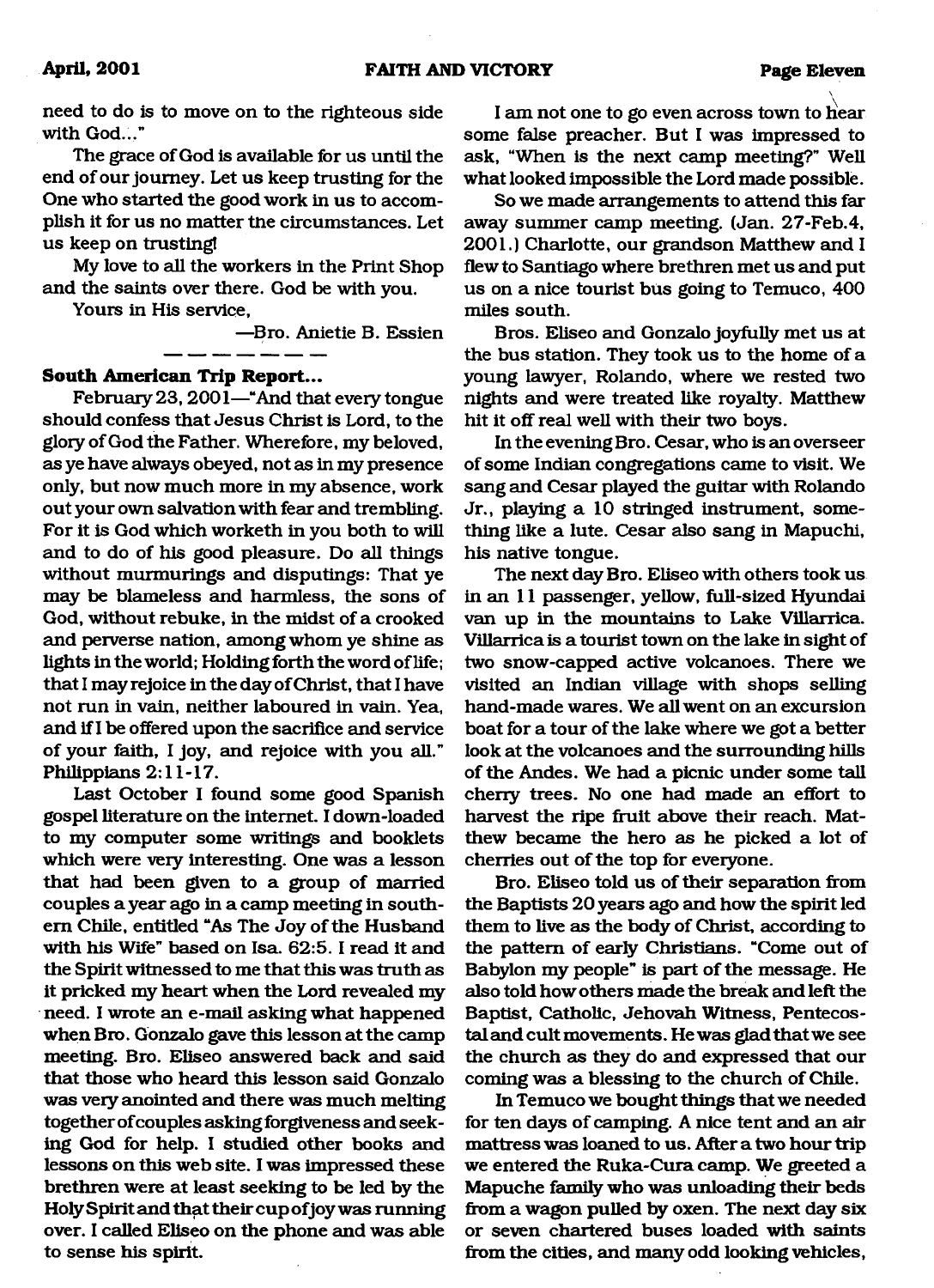need to do is to move on to the righteous side with God..."

The grace of God is available for us until the end of our journey. Let us keep trusting for the One who started the good work in us to accomplish it for us no matter the circumstances. Let us keep on trusting!

My love to all the workers in the Print Shop and the saints over there. God be with you.

Yours in His service,

—Bro. Anietie B. Essien

#### **South American Trip Report...**

February 23, 2001—"And that every tongue should confess that Jesus Christ is Lord, to the glory of God the Father. Wherefore, my beloved, as ye have always obeyed, not as in my presence only, but now much more in my absence, work out your own salvation with fear and trembling. For it is God which worketh in you both to will and to do of his good pleasure. Do all things without murmurings and disputings: That ye may be blameless and harmless, the sons of God, without rebuke, in the midst of a crooked and perverse nation, among whom ye shine as lights in the world; Holding forth the word of life; that I may rejoice in the day of Christ, that I have not run in vain, neither laboured in vain. Yea, and if I be offered upon the sacrifice and service of your faith, I joy, and rejoice with you all." Philippians 2:11-17.

Last October I found some good Spanish gospel literature on the internet. I down-loaded to my computer some writings and booklets which were very interesting. One was a lesson that had been given to a group of married couples a year ago in a camp meeting in southern Chile, entitled "As The Joy of the Husband with his Wife" based on Isa. 62:5. I read it and the Spirit witnessed to me that this was truth as it pricked my heart when the Lord revealed my need. I wrote an e-mail asking what happened when Bro. Gonzalo gave this lesson at the camp meeting. Bro. Eliseo answered back and said that those who heard this lesson said Gonzalo was very anointed and there was much melting together of couples asking forgiveness and seeking God for help. I studied other books and lessons on this web site. I was impressed these brethren were at least seeking to be led by the Holy Spirit and that their cup of joy was running over. I called Eliseo on the phone and was able to sense his spirit.

I am not one to go even across town to hear some false preacher. But I was impressed to ask, "When is the next camp meeting?" Well what looked impossible the Lord made possible.

So we made arrangements to attend this far away summer camp meeting. (Jan. 27-Feb.4, 2001.) Charlotte, our grandson Matthew and I flew to Santiago where brethren met us and put us on a nice tourist bus going to Temuco, 400 miles south.

Bros. Eliseo and Gonzalo joyfully met us at the bus station. They took us to the home of a young lawyer, Rolando, where we rested two nights and were treated like royalty. Matthew hit it off real well with their two boys.

In the evening Bro. Cesar, who is an overseer of some Indian congregations came to visit. We sang and Cesar played the guitar with Rolando Jr., playing a 10 stringed instrument, something like a lute. Cesar also sang in Mapuchi, his native tongue.

The next day Bro. Eliseo with others took us in an 11 passenger, yellow, full-sized Hyundai van up in the mountains to Lake Villarrica. Villarrica is a tourist town on the lake in sight of two snow-capped active volcanoes. There we visited an Indian village with shops selling hand-made wares. We all went on an excursion boat for a tour of the lake where we got a better look at the volcanoes and the surrounding hills of the Andes. We had a picnic under some tall cheny trees. No one had made an effort to harvest the ripe fruit above their reach. Matthew became the hero as he picked a lot of cherries out of the top for everyone.

Bro. Eliseo told us of their separation from the Baptists 20 years ago and how the spirit led them to live as the body of Christ, according to the pattern of early Christians. "Come out of Babylon my people" is part of the message. He also told how others made the break and left the Baptist, Catholic, Jehovah Witness, Pentecostal and cult movements. He was glad that we see the church as they do and expressed that our coming was a blessing to the church of Chile.

In Temuco we bought things that we needed for ten days of camping. A nice tent and an air mattress was loaned to us. After a two hour trip we entered the Ruka-Cura camp. We greeted a Mapuche family who was unloading their beds from a wagon pulled by oxen. The next day six or seven chartered buses loaded with saints from the cities, and many odd looking vehicles,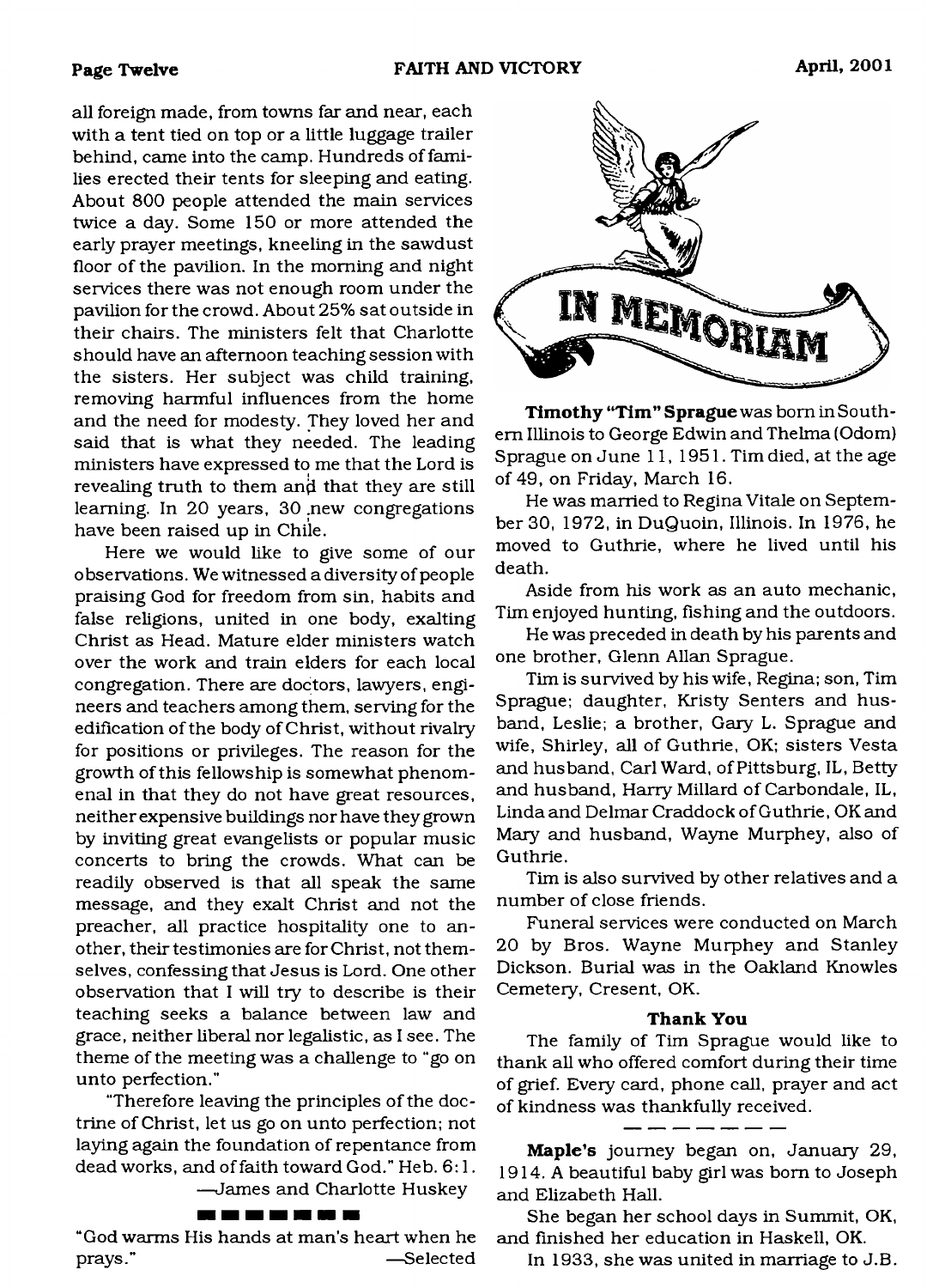all foreign made, from towns far and near, each with a tent tied on top or a little luggage trailer behind, came into the camp. Hundreds of families erected their tents for sleeping and eating. About 800 people attended the main services twice a day. Some 150 or more attended the early prayer meetings, kneeling in the sawdust floor of the pavilion. In the morning and night services there was not enough room under the pavilion for the crowd. About 25% sat outside in their chairs. The ministers felt that Charlotte should have an afternoon teaching session with the sisters. Her subject was child training, removing harmful influences from the home and the need for modesty. They loved her and said that is what they needed. The leading ministers have expressed to me that the Lord is revealing truth to them an $\dot{\mathsf{d}}$  that they are still learning. In 20 years, 30 .new congregations have been raised up in Chile.

Here we would like to give some of our observations. We witnessed a diversity of people praising God for freedom from sin, habits and false religions, united in one body, exalting Christ as Head. Mature elder ministers watch over the work and train elders for each local congregation. There are doctors, lawyers, engineers and teachers among them, serving for the edification of the body of Christ, without rivalry for positions or privileges. The reason for the growth of this fellowship is somewhat phenomenal in that they do not have great resources, neither expensive buildings nor have they grown by inviting great evangelists or popular music concerts to bring the crowds. What can be readily observed is that all speak the same message, and they exalt Christ and not the preacher, all practice hospitality one to another, their testimonies are for Christ, not themselves, confessing that Jesus is Lord. One other observation that I will try to describe is their teaching seeks a balance between law and grace, neither liberal nor legalistic, as I see. The theme of the meeting was a challenge to "go on unto perfection."

"Therefore leaving the principles of the doctrine of Christ, let us go on unto perfection; not laying again the foundation of repentance from dead works, and of faith toward God." Heb. 6:1.

—James and Charlotte Huskey

#### --------

"God warms His hands at man's heart when he prays." — Selected



**Timothy "Tim " Sprague** was bom in Southern Illinois to George Edwin and Thelma (Odom) Sprague on June 11, 1951. Tim died, at the age of 49, on Friday, March 16.

He was married to Regina Vitale on September 30, 1972, in DuQuoin, Illinois. In 1976, he moved to Guthrie, where he lived until his death.

Aside from his work as an auto mechanic, Tim enjoyed hunting, fishing and the outdoors.

He was preceded in death by his parents and one brother, Glenn Allan Sprague.

Tim is survived by his wife, Regina; son, Tim Sprague; daughter, Kristy Senters and husband, Leslie; a brother, Gary L. Sprague and wife, Shirley, all of Guthrie, OK; sisters Vesta and husband, Carl Ward, of Pittsburg, IL, Betty and husband, Harry Millard of Carbondale, IL, Linda and Delmar Craddock of Guthrie, OK and Mary and husband, Wayne Murphey, also of Guthrie.

Tim is also survived by other relatives and a number of close friends.

Funeral services were conducted on March 20 by Bros. Wayne Murphey and Stanley Dickson. Burial was in the Oakland Knowles Cemetery, Cresent, OK.

#### **Thank You**

The family of Tim Sprague would like to thank all who offered comfort during their time of grief. Every card, phone call, prayer and act of kindness was thankfully received.

**Maple's** journey began on, January 29, 1914. A beautiful baby girl was bom to Joseph and Elizabeth Hall.

She began her school days in Summit, OK, and finished her education in Haskell, OK.

In 1933, she was united in marriage to J.B.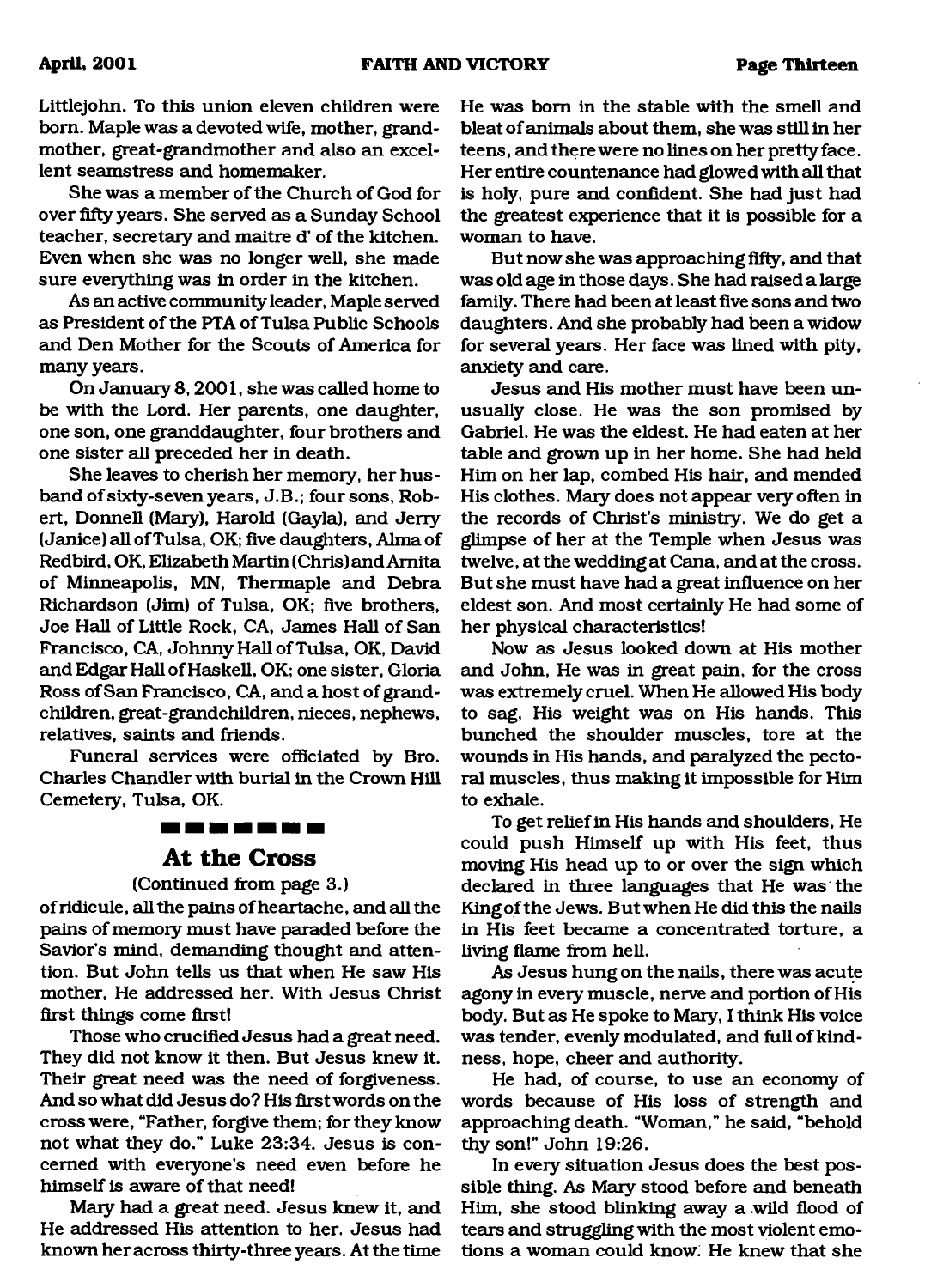Littlejohn. To this union eleven children were bom. Maple was a devoted wife, mother, grandmother, great-grandmother and also an excellent seamstress and homemaker.

She was a member of the Church of God for over fifty years. She served as a Sunday School teacher, secretaiy and maitre d' of the kitchen. Even when she was no longer well, she made sure everything was in order in the kitchen.

As an active community leader, Maple served as President of the PTA of Tulsa Public Schools and Den Mother for the Scouts of America for many years.

On January 8,2001, she was called home to be with the Lord. Her parents, one daughter, one son, one granddaughter, four brothers and one sister all preceded her in death.

She leaves to cherish her memory, her husband of sixty-seven years, J.B.; four sons, Robert, Donnell (Mary), Harold (Gayla), and Jerry (Janice) all of Tulsa, OK; five daughters, Alma of Redbird, OK, Elizabeth Martin (Chris) and Amita of Minneapolis, MN, Thermaple and Debra Richardson (Jim) of Tulsa, OK; five brothers, Joe Hall of Little Rock, CA, James Hall of San Francisco, CA, Johnny Hall of Tulsa, OK, David and Edgar Hall of Haskell, OK; one sister, Gloria Ross of San Francisco, CA, and a host of grandchildren, great-grandchildren, nieces, nephews, relatives, saints and friends.

Funeral services were officiated by Bro. Charles Chandler with burial in the Crown Hill Cemetery, Tulsa, OK.

# ----------**At the Cross**

### (Continued from page 3.)

of ridicule, all the pains of heartache, and all the pains of memory must have paraded before the Savior's mind, demanding thought and attention. But John tells us that when He saw His mother, He addressed her. With Jesus Christ first things come first!

Those who crucified Jesus had a great need. They did not know it then. But Jesus knew it. Their great need was the need of forgiveness. And so what did Jesus do? His first words on the cross were, "Father, forgive them; for they know not what they do." Luke 23:34. Jesus is concerned with everyone's need even before he himself is aware of that need!

Mary had a great need. Jesus knew it, and He addressed His attention to her. Jesus had known her across thirty-three years. At the time

He was bom in the stable with the smell and bleat of animals about them, she was still in her teens, and there were no lines on her pretty face. Her entire countenance had glowed with all that is holy, pure and confident. She had just had the greatest experience that it is possible for a woman to have.

But now she was approaching fifty, and that was old age in those days. She had raised a large family. There had been at least five sons and two daughters. And she probably had been a widow for several years. Her face was lined with pity, anxiety and care.

Jesus and His mother must have been unusually close. He was the son promised by Gabriel. He was the eldest. He had eaten at her table and grown up in her home. She had held Him on her lap, combed His hair, and mended His clothes. Mary does not appear very often in the records of Christ's ministry. We do get a glimpse of her at the Temple when Jesus was twelve, at the wedding at Cana, and at the cross. But she must have had a great influence on her eldest son. And most certainly He had some of her physical characteristics!

Now as Jesus looked down at His mother and John, He was in great pain, for the cross was extremely cruel. When He allowed His body to sag, His weight was on His hands. This bunched the shoulder muscles, tore at the wounds in His hands, and paralyzed the pectoral muscles, thus making it impossible for Him to exhale.

To get relief in His hands and shoulders, He could push Himself up with His feet, thus moving His head up to or over the sign which declared in three languages that He was the King of the Jews. But when He did this the nails in His feet became a concentrated torture, a living flame from hell.

As Jesus hung on the nails, there was acute agony in every muscle, nerve and portion of His body. But as He spoke to Mary, I think His voice was tender, evenly modulated, and full of kindness, hope, cheer and authority.

He had, of course, to use an economy of words because of His loss of strength and approaching death. "Woman," he said, "behold thy son!" John 19:26.

In every situation Jesus does the best possible thing. As Mary stood before and beneath Him, she stood blinking away a wild flood of tears and struggling with the most violent emotions a woman could know; He knew that she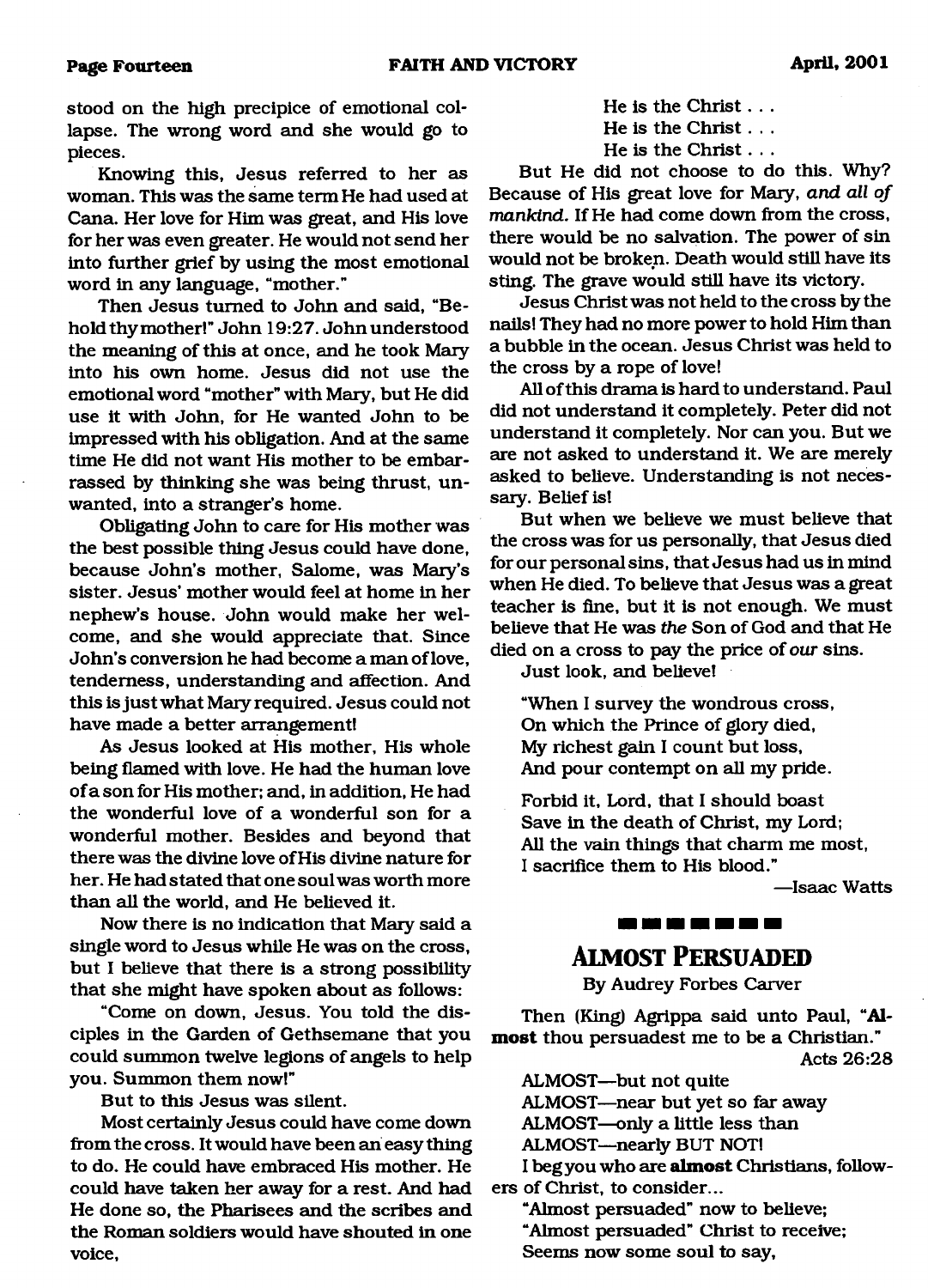stood on the high precipice of emotional collapse. The wrong word and she would go to pieces.

Knowing this, Jesus referred to her as woman. This was the same term He had used at Cana. Her love for Him was great, and His love for her was even greater. He would not send her into further grief by using the most emotional word in any language, "mother."

Then Jesus turned to John and said, "Behold thy mother!" John 19:27. John understood the meaning of this at once, and he took Mary into his own home. Jesus did not use the emotional word "mother" with Mary, but He did use it with John, for He wanted John to be impressed with his obligation. And at the same time He did not want His mother to be embarrassed by thinking she was being thrust, unwanted, into a stranger's home.

Obligating John to care for His mother was the best possible thing Jesus could have done, because John's mother, Salome, was Mary's sister. Jesus' mother would feel at home in her nephew's house. John would make her welcome, and she would appreciate that. Since John's conversion he had become a man of love, tenderness, understanding and affection. And this is just what Mary required. Jesus could not have made a better arrangement!

As Jesus looked at His mother, His whole being flamed with love. He had the human love of a son for His mother; and, in addition, He had the wonderful love of a wonderful son for a wonderful mother. Besides and beyond that there was the divine love of His divine nature for her. He had stated that one soul was worth more than all the world, and He believed it.

Now there is no indication that Mary said a single word to Jesus while He was on the cross, but I believe that there is a strong possibility that she might have spoken about as follows:

"Come on down, Jesus. You told the disciples in the Garden of Gethsemane that you could summon twelve legions of angels to help you. Summon them now!"

But to this Jesus was silent.

Most certainly Jesus could have come down from the cross. It would have been an easy thing to do. He could have embraced His mother. He could have taken her away for a rest. And had He done so, the Pharisees and the scribes and the Roman soldiers would have shouted in one voice,

|  | He is the Christ $\dots$ |  |  |
|--|--------------------------|--|--|
|  | He is the Christ $\dots$ |  |  |
|  | He is the Christ $\dots$ |  |  |

But He did not choose to do this. Why? Because of His great love for Mary, *and all of mankind.* If He had come down from the cross, there would be no salvation. The power of sin would not be broken. Death would still have its sting. The grave would still have its victory.

Jesus Christ was not held to the cross by the nails! They had no more power to hold Him than a bubble in the ocean. Jesus Christ was held to the cross by a rope of love!

All of this drama is hard to understand. Paul did not understand it completely. Peter did not understand it completely. Nor can you. But we are not asked to understand it. We are merely asked to believe. Understanding is not necessary. Belief is!

But when we believe we must believe that the cross was for us personally, that Jesus died for our personal sins, that Jesus had us in mind when He died. To believe that Jesus was a great teacher is fine, but it is not enough. We must believe that He was *the* Son of God and that He died on a cross to pay the price of *our* sins.

Just look, and believe!

"When I survey the wondrous cross, On which the Prince of glory died, My richest gain I count but loss, And pour contempt on all my pride.

Forbid it, Lord, that I should boast Save in the death of Christ, my Lord; All the vain things that charm me most, I sacrifice them to His blood."

—Isaac Watts

### <u> 1991 - 1992 - 1992 - 1993 - 1994 - 1994 - 1994 - 1994 - 1994 - 1994 - 1994 - 1994 - 1994 - 1994 - 1994 - 1994 - 1994 - 1994 - 1994 - 1994 - 1994 - 1994 - 1994 - 1994 - 1994 - 1994 - 1994 - 1994 - 1994 - 1994 - 1994 - 199</u>

# **Alm o st Per su ad ed**

By Audrey Forbes Carver

Then (King) Agrippa said unto Paul, **"Almost** thou persuadest me to be a Christian." Acts 26:28

ALMOST—but not quite

ALMOST—near but yet so far away

ALMOST—only a little less than

ALMOST—nearly BUT NOT!

**I** beg you who are **almost** Christians, followers of Christ, to consider...

"Almost persuaded" now to believe; "Almost persuaded" Christ to receive; Seems now some soul to say,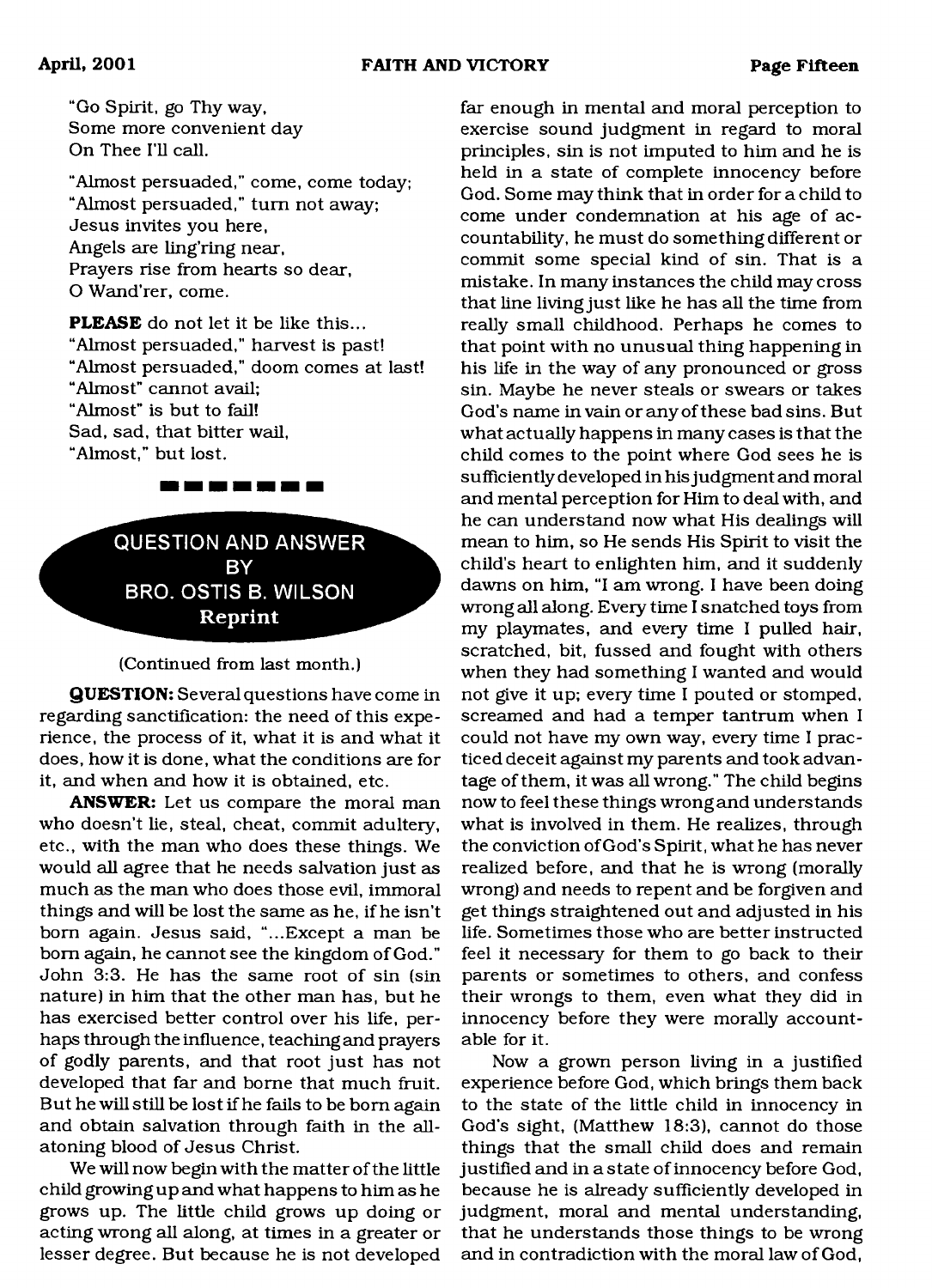"Go Spirit, go Thy way, Some more convenient day On Thee I'll call.

"Almost persuaded," come, come today; "Almost persuaded," turn not away; Jesus invites you here, Angels are ling'ring near, Prayers rise from hearts so dear, O Wand'rer, come.

**PLEASE** do not let it be like this... "Almost persuaded," harvest is past! "Almost persuaded," doom comes at last! "Almost" cannot avail; "Almost" is but to fail! Sad, sad, that bitter wail, "Almost," but lost.

> <span id="page-14-0"></span>**QUESTION AND ANSWER BY BRO. OSTIS B. WILSON Reprint**

<u> 1971 - Jan Jan Jan Jan Jan</u>

#### (Continued from last month.)

**QUESTION:** Several questions have come in regarding sanctification: the need of this experience, the process of it, what it is and what it does, how it is done, what the conditions are for it, and when and how it is obtained, etc.

**ANSWER:** Let us compare the moral man who doesn't lie, steal, cheat, commit adultery, etc., with the man who does these things. We would all agree that he needs salvation just as much as the man who does those evil, immoral things and will be lost the same as he, if he isn't bom again. Jesus said, "...Except a man be bom again, he cannot see the kingdom of God." John 3:3. He has the same root of sin (sin nature) in him that the other man has, but he has exercised better control over his life, perhaps through the influence, teaching and prayers of godly parents, and that root just has not developed that far and borne that much fruit. But he will still be lost if he fails to be bom again and obtain salvation through faith in the allatoning blood of Jesus Christ.

We will now begin with the matter of the little child growing up and what happens to him as he grows up. The little child grows up doing or acting wrong all along, at times in a greater or lesser degree. But because he is not developed

far enough in mental and moral perception to exercise sound judgment in regard to moral principles, sin is not imputed to him and he is held in a state of complete innocency before God. Some may think that in order for a child to come under condemnation at his age of accountability, he must do something different or commit some special kind of sin. That is a mistake. In many instances the child may cross that line living just like he has all the time from really small childhood. Perhaps he comes to that point with no unusual thing happening in his life in the way of any pronounced or gross sin. Maybe he never steals or swears or takes God's name in vain or any of these bad sins. But what actually happens in many cases is that the child comes to the point where God sees he is sufficiently developed in his judgment and moral and mental perception for Him to deal with, and he can understand now what His dealings will mean to him, so He sends His Spirit to visit the child's heart to enlighten him, and it suddenly dawns on him, "I am wrong. I have been doing wrong all along. Every time I snatched toys from my playmates, and every time I pulled hair, scratched, bit, fussed and fought with others when they had something I wanted and would not give it up; every time I pouted or stomped, screamed and had a temper tantrum when I could not have my own way, every time I practiced deceit against my parents and took advantage of them, it was all wrong." The child begins now to feel these things wrong and understands what is involved in them. He realizes, through the conviction of God's Spirit, what he has never realized before, and that he is wrong (morally wrong) and needs to repent and be forgiven and get things straightened out and adjusted in his life. Sometimes those who are better instructed feel it necessary for them to go back to their parents or sometimes to others, and confess their wrongs to them, even what they did in innocency before they were morally accountable for it.

Now a grown person living in a justified experience before God, which brings them back to the state of the little child in innocency in God's sight, (Matthew 18:3), cannot do those things that the small child does and remain justified and in a state of innocency before God, because he is already sufficiently developed in judgment, moral and mental understanding, that he understands those things to be wrong and in contradiction with the moral law of God,